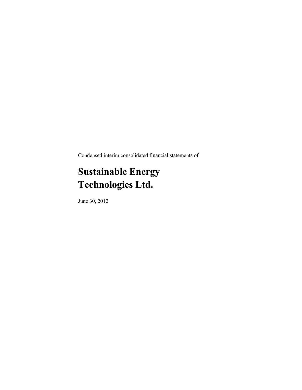Condensed interim consolidated financial statements of

# **Sustainable Energy Technologies Ltd.**

June 30, 2012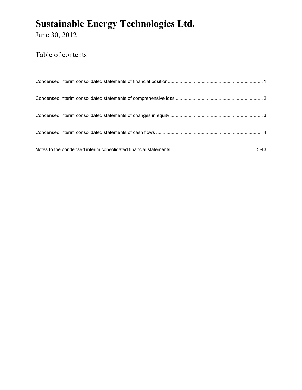June 30, 2012

## Table of contents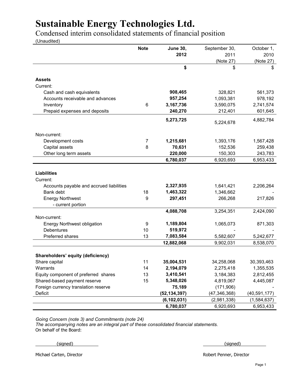Condensed interim consolidated statements of financial position

(Unaudited)

|                                                 | <b>Note</b> | <b>June 30,</b>         | September 30,           | October 1,              |
|-------------------------------------------------|-------------|-------------------------|-------------------------|-------------------------|
|                                                 |             | 2012                    | 2011                    | 2010                    |
|                                                 |             |                         | (Note 27)               | (Note 27)               |
|                                                 |             | \$                      | \$                      | \$                      |
| <b>Assets</b>                                   |             |                         |                         |                         |
| Current:                                        |             |                         |                         |                         |
| Cash and cash equivalents                       |             | 908,465                 | 328,821                 | 561,373                 |
| Accounts receivable and advances                |             | 957,254                 | 1,093,381               | 978,192                 |
| Inventory                                       | 6           | 3,167,736               | 3,590,075               | 2,741,574               |
| Prepaid expenses and deposits                   |             | 240,270                 | 212,401                 | 601,645                 |
|                                                 |             | 5,273,725               | 5,224,678               | 4,882,784               |
| Non-current:                                    |             |                         |                         |                         |
| Development costs                               | 7           | 1,215,681               | 1,393,176               | 1,567,428               |
| Capital assets                                  | 8           | 70,631                  | 152,536                 | 259,438                 |
| Other long term assets                          |             | 220,000                 | 150,303                 | 243,783                 |
|                                                 |             | 6,780,037               | 6,920,693               | 6,953,433               |
|                                                 |             |                         |                         |                         |
| <b>Liabilities</b>                              |             |                         |                         |                         |
| Current:                                        |             |                         |                         |                         |
| Accounts payable and accrued liabilities        |             | 2,327,935               | 1,641,421               | 2,206,264               |
| Bank debt                                       | 18          | 1,463,322               | 1,346,662               |                         |
| <b>Energy Northwest</b>                         | 9           | 297,451                 | 266,268                 | 217,826                 |
| - current portion                               |             |                         |                         |                         |
|                                                 |             | 4,088,708               | 3,254,351               | 2,424,090               |
| Non-current:                                    |             |                         |                         |                         |
| <b>Energy Northwest obligation</b>              | 9           | 1,189,804               | 1,065,073               | 871,303                 |
| <b>Debentures</b>                               | 10          | 519,972                 |                         |                         |
| Preferred shares                                | 13          | 7,083,584               | 5,582,607               | 5,242,677               |
|                                                 |             | 12,882,068              | 9,902,031               | 8,538,070               |
|                                                 |             |                         |                         |                         |
| Shareholders' equity (deficiency)               |             |                         |                         |                         |
| Share capital<br>Warrants                       | 11<br>14    | 35,004,531<br>2,194,079 | 34,258,068<br>2,275,418 | 30,393,463<br>1,355,535 |
| Equity component of preferred shares            | 13          | 3,410,541               | 3,184,383               | 2,812,455               |
|                                                 | 15          |                         |                         | 4,445,087               |
| Shared-based payment reserve                    |             | 5,348,026               | 4,819,067               |                         |
| Foreign currency translation reserve<br>Deficit |             | 75,189                  | (171,906)               |                         |
|                                                 |             | (52, 134, 397)          | (47, 346, 368)          | (40, 591, 177)          |
|                                                 |             | (6, 102, 031)           | (2,981,338)             | (1,584,637)             |
|                                                 |             | 6,780,037               | 6,920,693               | 6,953,433               |

*Going Concern (note 3) and Commitments (note 24)*

*The accompanying notes are an integral part of these consolidated financial statements.* On behalf of the Board:

 $\{ \text{signed} \}$  and  $\{ \text{signed} \}$ 

Michael Carten, Director **Robert Penner, Director** Robert Penner, Director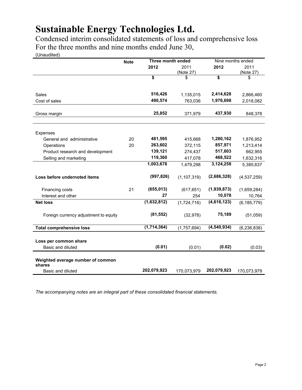Condensed interim consolidated statements of loss and comprehensive loss For the three months and nine months ended June 30,

(Unaudited)

|    | Three month ended<br><b>Note</b> |                                                  |                 | Nine months ended                                |  |
|----|----------------------------------|--------------------------------------------------|-----------------|--------------------------------------------------|--|
|    | 2012                             | 2011                                             | 2012            | 2011                                             |  |
|    |                                  |                                                  |                 | (Note 27)                                        |  |
|    |                                  |                                                  |                 | \$                                               |  |
|    | 516,426                          | 1,135,015                                        | 2,414,628       | 2,866,460                                        |  |
|    | 490,574                          | 763,036                                          | 1,976,698       | 2,018,082                                        |  |
|    | 25,852                           | 371,979                                          | 437,930         | 848,378                                          |  |
|    |                                  |                                                  |                 |                                                  |  |
| 20 | 481,595                          | 415,668                                          | 1,280,162       | 1,876,952                                        |  |
| 20 |                                  | 372,115                                          |                 | 1,213,414                                        |  |
|    |                                  | 274,437                                          |                 | 662,955                                          |  |
|    |                                  | 417,078                                          |                 | 1,632,316                                        |  |
|    |                                  | 1,479,298                                        |                 | 5,385,637                                        |  |
|    | (997, 826)                       | (1, 107, 319)                                    | (2,686,328)     | (4,537,259)                                      |  |
| 21 | (655, 013)                       | (617, 651)                                       | (1,939,873)     | (1,659,284)                                      |  |
|    | 27                               | 254                                              | 10,078          | 10,764                                           |  |
|    | (1,632,812)                      | (1,724,716)                                      | (4,616,123)     | (6, 185, 779)                                    |  |
|    | (81, 552)                        | (32, 978)                                        | 75,189          | (51,059)                                         |  |
|    | (1,714,364)                      | (1,757,694)                                      | (4, 540, 934)   | (6, 236, 838)                                    |  |
|    |                                  |                                                  |                 |                                                  |  |
|    |                                  |                                                  |                 |                                                  |  |
|    |                                  | \$<br>263,602<br>139,121<br>119,360<br>1,003,678 | (Note 27)<br>\$ | \$<br>857,971<br>517,603<br>468,522<br>3,124,258 |  |

*The accompanying notes are an integral part of these consolidated financial statements.*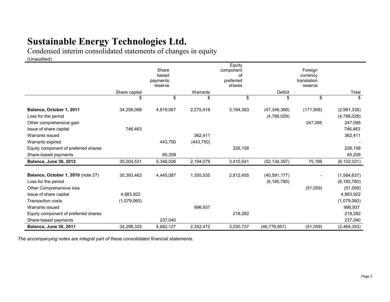Condensed interim consolidated statements of changes in equity

(Unaudited)

|                                      |               |                     |            | Equity          |                |                          |               |
|--------------------------------------|---------------|---------------------|------------|-----------------|----------------|--------------------------|---------------|
|                                      |               | Share               |            | component       |                | Foreign                  |               |
|                                      |               | based               |            | of<br>preferred |                | currency<br>translation  |               |
|                                      |               | payments<br>reserve |            | shares          |                | reserve                  |               |
|                                      | Share capital |                     | Warrants   |                 | Deficit        |                          | Total         |
|                                      | \$            | \$                  | \$         | \$              | \$             | \$                       | \$            |
| Balance, October 1, 2011             | 34,258,068    | 4,819,067           | 2,275,418  | 3,184,383       | (47, 346, 368) | (171,906)                | (2,981,338)   |
| Loss for the period                  |               |                     |            |                 | (4,788,029)    |                          | (4,788,029)   |
| Other comprehensive gain             |               |                     |            |                 |                | 247,095                  | 247,095       |
| Issue of share capital               | 746,463       |                     |            |                 |                |                          | 746,463       |
| Warrants issued                      |               |                     | 362,411    |                 |                |                          | 362,411       |
| Warrants expired                     |               | 443,750             | (443, 750) |                 |                |                          |               |
| Equity component of preferred shares |               |                     |            | 226,158         |                |                          | 226,158       |
| Share-based payments                 |               | 85,209              |            |                 |                |                          | 85,209        |
| <b>Balance, June 30, 2012</b>        | 35,004,531    | 5,348,026           | 2,194,079  | 3,410,541       | (52, 134, 397) | 75,189                   | (6, 102, 031) |
| Balance, October 1, 2010 (note 27)   | 30,393,463    | 4,445,087           | 1,355,535  | 2,812,455       | (40,591,177)   | $\overline{\phantom{a}}$ | (1,584,637)   |
| Loss for the period                  |               |                     |            |                 | (6, 185, 780)  |                          | (6, 185, 780) |
| Other Comprehensive loss             |               |                     |            |                 |                | (51,059)                 | (51,059)      |
| Issue of share capital               | 4,983,922     |                     |            |                 |                |                          | 4,983,922     |
| <b>Transaction costs</b>             | (1,079,060)   |                     |            |                 |                |                          | (1,079,060)   |
| Warrants issued                      |               |                     | 996,937    |                 |                |                          | 996,937       |
| Equity component of preferred shares |               |                     |            | 218,282         |                |                          | 218,282       |
| Share-based payments                 |               | 237,040             |            |                 |                |                          | 237,040       |
| <b>Balance, June 30, 2011</b>        | 34,298,325    | 4,682,127           | 2,352,472  | 3,030,737       | (46, 776, 957) | (51,059)                 | (2,464,353)   |

*The accompanying notes are integral part of these consolidated financial statements.*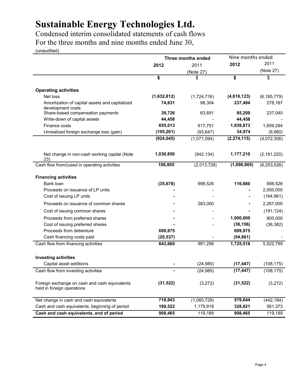Condensed interim consolidated statements of cash flows For the three months and nine months ended June 30,

(unaudited)

|                                                                             |                | Three months ended | Nine months ended |               |  |
|-----------------------------------------------------------------------------|----------------|--------------------|-------------------|---------------|--|
|                                                                             | 2012           | 2011               | 2012              | 2011          |  |
|                                                                             |                | (Note 27)          |                   | (Note 27)     |  |
|                                                                             | \$             | \$                 | \$                | \$            |  |
| <b>Operating activities</b>                                                 |                |                    |                   |               |  |
| Net loss                                                                    | (1,632,812)    | (1,724,716)        | (4,616,123)       | (6, 185, 779) |  |
| Amortization of capital assets and capitalized<br>development costs         | 74,831         | 98,304             | 237,494           | 278,167       |  |
| Share-based compensation payments                                           | 39,726         | 63,691             | 85,209            | 237,040       |  |
| Write-down of capital assets                                                | 44,458         |                    | 44,458            |               |  |
| Finance costs                                                               | 655,013        | 617,751            | 1,939,873         | 1,659,284     |  |
| Unrealized foreign exchange loss (gain)                                     | (105, 261)     | (93, 647)          | 34,974            | (9,960)       |  |
|                                                                             | (924, 045)     | (1,071,594)        | (2, 274, 115)     | (4,072,306)   |  |
| Net change in non-cash working capital (Note<br>23)                         | 1,030,850      | (942, 134)         | 1,177,210         | (2, 181, 220) |  |
| Cash flow from/(used in operating activities                                | 106,805        | (2,013,728)        | (1,096,905)       | (6, 253, 526) |  |
| <b>Financing activities</b>                                                 |                |                    |                   |               |  |
| Bank loan                                                                   | (35, 678)      | 698,526            | 116,660           | 698,526       |  |
| Proceeds on issuance of LP units                                            |                |                    |                   | 2,550,000     |  |
| Cost of issuing LP units                                                    |                |                    |                   | (164, 961)    |  |
| Proceeds on issuance of common shares                                       |                | 283,000            |                   | 2,267,000     |  |
| Cost of issuing common shares                                               |                |                    |                   | (191, 124)    |  |
| Proceeds from preferred shares                                              |                |                    | 1,000,000         | 800,000       |  |
| Cost of issuing preferred shares                                            |                |                    | (36, 156)         | (36, 382)     |  |
| Proceeds from debenture                                                     | 699,875        |                    | 699,875           |               |  |
| Cash financing costs paid                                                   | (20, 537)      |                    | (54, 861)         |               |  |
| Cash flow from financing activities                                         | 643,660        | 981,256            | 1,725,518         | 5,922,789     |  |
| <b>Investing activities</b>                                                 |                |                    |                   |               |  |
| Capital asset additions                                                     |                | (24, 985)          | (17, 447)         | (108, 175)    |  |
| Cash flow from investing activities                                         | $\blacksquare$ | (24, 985)          | (17, 447)         | (108, 175)    |  |
| Foreign exchange on cash and cash equivalents<br>held in foreign operations | (31, 522)      | (3,272)            | (31, 522)         | (3,272)       |  |
| Net change in cash and cash equivalents                                     | 718,943        | (1,060,729)        | 579,644           | (442, 184)    |  |
| Cash and cash equivalents, beginning of period                              | 189,522        | 1,179,918          | 328,821           | 561,373       |  |
| Cash and cash equivalents, end of period                                    | 908,465        | 119,189            | 908,465           | 119,189       |  |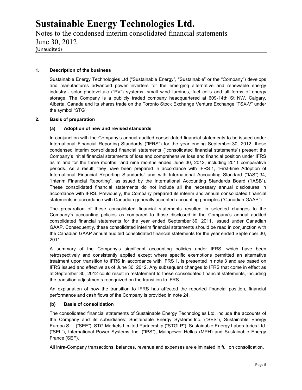Notes to the condensed interim consolidated financial statements June 30, 2012 (Unaudited)

## **1. Description of the business**

Sustainable Energy Technologies Ltd ("Sustainable Energy", "Sustainable" or the "Company") develops and manufactures advanced power inverters for the emerging alternative and renewable energy industry - solar photovoltaic ("PV") systems, small wind turbines, fuel cells and all forms of energy storage. The Company is a publicly traded company headquartered at 609-14th St NW, Calgary, Alberta, Canada and its shares trade on the Toronto Stock Exchange Venture Exchange "TSX-V" under the symbol "STG".

## **2. Basis of preparation**

## **(a) Adoption of new and revised standards**

In conjunction with the Company's annual audited consolidated financial statements to be issued under International Financial Reporting Standards ("IFRS") for the year ending September 30, 2012, these condensed interim consolidated financial statements ("consolidated financial statements") present the Company's initial financial statements of loss and comprehensive loss and financial position under IFRS as at and for the three months and nine months ended June 30, 2012, including 2011 comparative periods. As a result, they have been prepared in accordance with IFRS 1, "First-time Adoption of International Financial Reporting Standards" and with International Accounting Standard ("IAS") 34, "Interim Financial Reporting", as issued by the International Accounting Standards Board ("IASB"). These consolidated financial statements do not include all the necessary annual disclosures in accordance with IFRS. Previously, the Company prepared its interim and annual consolidated financial statements in accordance with Canadian generally accepted accounting principles ("Canadian GAAP").

The preparation of these consolidated financial statements resulted in selected changes to the Company's accounting policies as compared to those disclosed in the Company's annual audited consolidated financial statements for the year ended September 30, 2011, issued under Canadian GAAP. Consequently, these consolidated interim financial statements should be read in conjunction with the Canadian GAAP annual audited consolidated financial statements for the year ended September 30, 2011.

A summary of the Company's significant accounting policies under IFRS, which have been retrospectively and consistently applied except where specific exemptions permitted an alternative treatment upon transition to IFRS in accordance with IFRS 1, is presented in note 3 and are based on IFRS issued and effective as of June 30, 2012. Any subsequent changes to IFRS that come in effect as at September 30, 2012 could result in restatement to these consolidated financial statements, including the transition adjustments recognized on the transition to IFRS.

An explanation of how the transition to IFRS has affected the reported financial position, financial performance and cash flows of the Company is provided in note 24.

## **(b) Basis of consolidation**

The consolidated financial statements of Sustainable Energy Technologies Ltd. include the accounts of the Company and its subsidiaries: Sustainable Energy Systems Inc. ("SES"), Sustainable Energy Europa S.L. ("SEE"), STG Markets Limited Partnership ("STGLP"), Sustainable Energy Laboratories Ltd. ("SEL"), International Power Systems, Inc. ("IPS"), Mainpower Hellas (MPH) and Sustainable Energy France (SEF).

All intra-Company transactions, balances, revenue and expenses are eliminated in full on consolidation.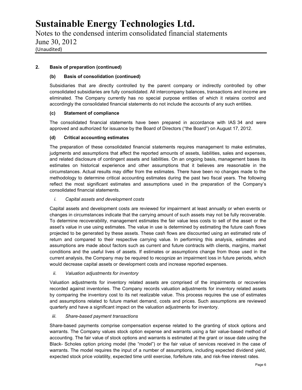Notes to the condensed interim consolidated financial statements June 30, 2012 (Unaudited)

## **2. Basis of preparation (continued)**

## **(b) Basis of consolidation (continued)**

Subsidiaries that are directly controlled by the parent company or indirectly controlled by other consolidated subsidiaries are fully consolidated. All intercompany balances, transactions and income are eliminated. The Company currently has no special purpose entities of which it retains control and accordingly the consolidated financial statements do not include the accounts of any such entities.

## **(c) Statement of compliance**

The consolidated financial statements have been prepared in accordance with IAS 34 and were approved and authorized for issuance by the Board of Directors ("the Board") on August 17, 2012.

## **(d) Critical accounting estimates**

The preparation of these consolidated financial statements requires management to make estimates, judgments and assumptions that affect the reported amounts of assets, liabilities, sales and expenses, and related disclosure of contingent assets and liabilities. On an ongoing basis, management bases its estimates on historical experience and other assumptions that it believes are reasonable in the circumstances. Actual results may differ from the estimates. There have been no changes made to the methodology to determine critical accounting estimates during the past two fiscal years. The following reflect the most significant estimates and assumptions used in the preparation of the Company's consolidated financial statements.

## *i. Capital assets and development costs*

Capital assets and development costs are reviewed for impairment at least annually or when events or changes in circumstances indicate that the carrying amount of such assets may not be fully recoverable. To determine recoverability, management estimates the fair value less costs to sell of the asset or the asset's value in use using estimates. The value in use is determined by estimating the future cash flows projected to be generated by these assets. These cash flows are discounted using an estimated rate of return and compared to their respective carrying value. In performing this analysis, estimates and assumptions are made about factors such as current and future contracts with clients, margins, market conditions and the useful lives of assets. If estimates or assumptions change from those used in the current analysis, the Company may be required to recognize an impairment loss in future periods, which would decrease capital assets or development costs and increase reported expenses.

## *ii. Valuation adjustments for inventory*

Valuation adjustments for inventory related assets are comprised of the impairments or recoveries recorded against inventories. The Company records valuation adjustments for inventory related assets by comparing the inventory cost to its net realizable value. This process requires the use of estimates and assumptions related to future market demand, costs and prices. Such assumptions are reviewed quarterly and have a significant impact on the valuation adjustments for inventory.

## *iii. Share-based payment transactions*

Share-based payments comprise compensation expense related to the granting of stock options and warrants. The Company values stock option expense and warrants using a fair value-based method of accounting. The fair value of stock options and warrants is estimated at the grant or issue date using the Black- Scholes option pricing model (the "model") or the fair value of services received in the case of warrants. The model requires the input of a number of assumptions, including expected dividend yield, expected stock price volatility, expected time until exercise, forfeiture rate, and risk-free interest rates.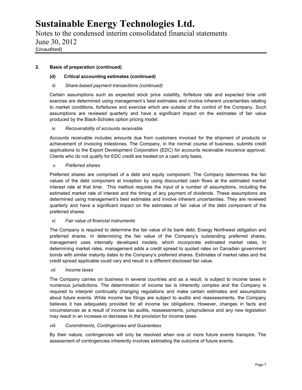Notes to the condensed interim consolidated financial statements June 30, 2012 (Unaudited)

## **2. Basis of preparation (continued)**

## **(d) Critical accounting estimates (continued)**

## *iii. Share-based payment transactions (continued)*

Certain assumptions such as expected stock price volatility, forfeiture rate and expected time until exercise are determined using management's best estimates and involve inherent uncertainties relating to market conditions, forfeitures and exercise which are outside of the control of the Company. Such assumptions are reviewed quarterly and have a significant impact on the estimates of fair value produced by the Black-Scholes option pricing model.

## *iv. Recoverability of accounts receivable*

Accounts receivable includes amounts due from customers invoiced for the shipment of products or achievement of invoicing milestones. The Company, in the normal course of business, submits credit applications to the Export Development Corporation (EDC) for accounts receivable insurance approval. Clients who do not qualify for EDC credit are treated on a cash only basis.

## *v. Preferred shares*

Preferred shares are comprised of a debt and equity component. The Company determines the fair values of the debt component at inception by using discounted cash flows at the estimated market interest rate at that time. This method requires the input of a number of assumptions, including the estimated market rate of interest and the timing of any payment of dividends. These assumptions are determined using management's best estimates and involve inherent uncertainties. They are reviewed quarterly and have a significant impact on the estimates of fair value of the debt component of the preferred shares.

## *vi. Fair value of financial instruments*

The Company is required to determine the fair value of its bank debt, Energy Northwest obligation and preferred shares. In determining the fair value of the Company's outstanding preferred shares, management uses internally developed models, which incorporate estimated market rates. In determining market rates, management adds a credit spread to quoted rates on Canadian government bonds with similar maturity dates to the Company's preferred shares. Estimates of market rates and the credit spread applicable could vary and result in a different disclosed fair value.

## *vii. Income taxes*

The Company carries on business in several countries and as a result, is subject to income taxes in numerous jurisdictions. The determination of income tax is inherently complex and the Company is required to interpret continually changing regulations and make certain estimates and assumptions about future events. While income tax filings are subject to audits and reassessments, the Company believes it has adequately provided for all income tax obligations. However, changes in facts and circumstances as a result of income tax audits, reassessments, jurisprudence and any new legislation may result in an increase or decrease in the provision for income taxes.

## *viii. Commitments, Contingencies and Guarantees*

By their nature, contingencies will only be resolved when one or more future events transpire. The assessment of contingencies inherently involves estimating the outcome of future events.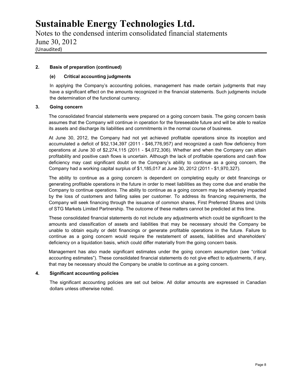Notes to the condensed interim consolidated financial statements June 30, 2012 (Unaudited)

## **2. Basis of preparation (continued)**

## **(e) Critical accounting judgments**

In applying the Company's accounting policies, management has made certain judgments that may have a significant effect on the amounts recognized in the financial statements. Such judgments include the determination of the functional currency.

## **3. Going concern**

The consolidated financial statements were prepared on a going concern basis. The going concern basis assumes that the Company will continue in operation for the foreseeable future and will be able to realize its assets and discharge its liabilities and commitments in the normal course of business.

At June 30, 2012, the Company had not yet achieved profitable operations since its inception and accumulated a deficit of \$52,134,397 (2011 - \$46,776,957) and recognized a cash flow deficiency from operations at June 30 of \$2,274,115 (2011 - \$4,072,306). Whether and when the Company can attain profitability and positive cash flows is uncertain. Although the lack of profitable operations and cash flow deficiency may cast significant doubt on the Company's ability to continue as a going concern, the Company had a working capital surplus of \$1,185,017 at June 30, 2012 (2011 - \$1,970,327).

The ability to continue as a going concern is dependent on completing equity or debt financings or generating profitable operations in the future in order to meet liabilities as they come due and enable the Company to continue operations. The ability to continue as a going concern may be adversely impacted by the loss of customers and falling sales per customer. To address its financing requirements, the Company will seek financing through the issuance of common shares, First Preferred Shares and Units of STG Markets Limited Partnership. The outcome of these matters cannot be predicted at this time.

These consolidated financial statements do not include any adjustments which could be significant to the amounts and classification of assets and liabilities that may be necessary should the Company be unable to obtain equity or debt financings or generate profitable operations in the future. Failure to continue as a going concern would require the restatement of assets, liabilities and shareholders' deficiency on a liquidation basis, which could differ materially from the going concern basis.

Management has also made significant estimates under the going concern assumption (see "critical accounting estimates"). These consolidated financial statements do not give effect to adjustments, if any, that may be necessary should the Company be unable to continue as a going concern.

## **4. Significant accounting policies**

The significant accounting policies are set out below. All dollar amounts are expressed in Canadian dollars unless otherwise noted.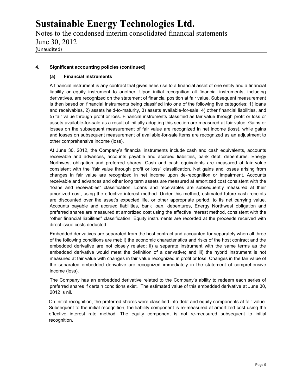Notes to the condensed interim consolidated financial statements June 30, 2012 (Unaudited)

## **4. Significant accounting policies (continued)**

## **(a) Financial instruments**

A financial instrument is any contract that gives rises rise to a financial asset of one entity and a financial liability or equity instrument to another. Upon initial recognition all financial instruments, including derivatives, are recognized on the statement of financial position at fair value. Subsequent measurement is then based on financial instruments being classified into one of the following five categories: 1) loans and receivables, 2) assets held-to-maturity, 3) assets available-for-sale, 4) other financial liabilities, and 5) fair value through profit or loss. Financial instruments classified as fair value through profit or loss or assets available-for-sale as a result of initially adopting this section are measured at fair value. Gains or losses on the subsequent measurement of fair value are recognized in net income (loss), while gains and losses on subsequent measurement of available-for-sale items are recognized as an adjustment to other comprehensive income (loss).

At June 30, 2012, the Company's financial instruments include cash and cash equivalents, accounts receivable and advances, accounts payable and accrued liabilities, bank debt, debentures, Energy Northwest obligation and preferred shares. Cash and cash equivalents are measured at fair value consistent with the "fair value through profit or loss" classification. Net gains and losses arising from changes in fair value are recognized in net income upon de-recognition or impairment. Accounts receivable and advances and other long term assets are measured at amortized cost consistent with the "loans and receivables" classification. Loans and receivables are subsequently measured at their amortized cost, using the effective interest method. Under this method, estimated future cash receipts are discounted over the asset's expected life, or other appropriate period, to its net carrying value. Accounts payable and accrued liabilities, bank loan, debentures, Energy Northwest obligation and preferred shares are measured at amortized cost using the effective interest method, consistent with the "other financial liabilities" classification. Equity instruments are recorded at the proceeds received with direct issue costs deducted.

Embedded derivatives are separated from the host contract and accounted for separately when all three of the following conditions are met: i) the economic characteristics and risks of the host contract and the embedded derivative are not closely related; ii) a separate instrument with the same terms as the embedded derivative would meet the definition of a derivative; and iii) the hybrid instrument is not measured at fair value with changes in fair value recognized in profit or loss. Changes in the fair value of the separated embedded derivative are recognized immediately in the statement of comprehensive income (loss).

The Company has an embedded derivative related to the Company's ability to redeem each series of preferred shares if certain conditions exist. The estimated value of this embedded derivative at June 30, 2012 is nil.

On initial recognition, the preferred shares were classified into debt and equity components at fair value. Subsequent to the initial recognition, the liability component is re-measured at amortized cost using the effective interest rate method. The equity component is not re-measured subsequent to initial recognition.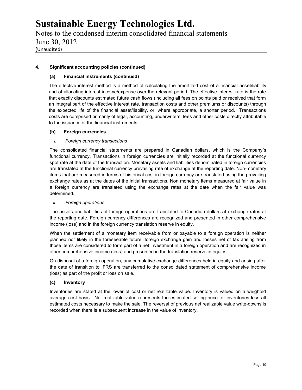Notes to the condensed interim consolidated financial statements June 30, 2012 (Unaudited)

## **4. Significant accounting policies (continued)**

## **(a) Financial instruments (continued)**

The effective interest method is a method of calculating the amortized cost of a financial asset/liability and of allocating interest income/expense over the relevant period. The effective interest rate is the rate that exactly discounts estimated future cash flows (including all fees on points paid or received that form an integral part of the effective interest rate, transaction costs and other premiums or discounts) through the expected life of the financial asset/liability, or, where appropriate, a shorter period. Transactions costs are comprised primarily of legal, accounting, underwriters' fees and other costs directly attributable to the issuance of the financial instruments.

## **(b) Foreign currencies**

## *i. Foreign currency transactions*

The consolidated financial statements are prepared in Canadian dollars, which is the Company's functional currency. Transactions in foreign currencies are initially recorded at the functional currency spot rate at the date of the transaction. Monetary assets and liabilities denominated in foreign currencies are translated at the functional currency prevailing rate of exchange at the reporting date. Non-monetary items that are measured in terms of historical cost in foreign currency are translated using the prevailing exchange rates as at the dates of the initial transactions. Non monetary items measured at fair value in a foreign currency are translated using the exchange rates at the date when the fair value was determined.

## *ii. Foreign operations*

The assets and liabilities of foreign operations are translated to Canadian dollars at exchange rates at the reporting date. Foreign currency differences are recognized and presented in other comprehensive income (loss) and in the foreign currency translation reserve in equity.

When the settlement of a monetary item receivable from or payable to a foreign operation is neither planned nor likely in the foreseeable future, foreign exchange gain and losses net of tax arising from those items are considered to form part of a net investment in a foreign operation and are recognized in other comprehensive income (loss) and presented in the translation reserve in equity.

On disposal of a foreign operation, any cumulative exchange differences held in equity and arising after the date of transition to IFRS are transferred to the consolidated statement of comprehensive income (loss) as part of the profit or loss on sale.

## **(c) Inventory**

Inventories are stated at the lower of cost or net realizable value. Inventory is valued on a weighted average cost basis. Net realizable value represents the estimated selling price for inventories less all estimated costs necessary to make the sale. The reversal of previous net realizable value write-downs is recorded when there is a subsequent increase in the value of inventory.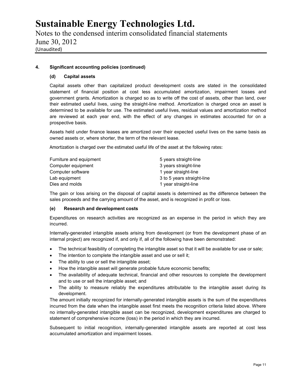Notes to the condensed interim consolidated financial statements June 30, 2012 (Unaudited)

## **4. Significant accounting policies (continued)**

## **(d) Capital assets**

Capital assets other than capitalized product development costs are stated in the consolidated statement of financial position at cost less accumulated amortization, impairment losses and government grants. Amortization is charged so as to write off the cost of assets, other than land, over their estimated useful lives, using the straight-line method. Amortization is charged once an asset is determined to be available for use. The estimated useful lives, residual values and amortization method are reviewed at each year end, with the effect of any changes in estimates accounted for on a prospective basis.

Assets held under finance leases are amortized over their expected useful lives on the same basis as owned assets or, where shorter, the term of the relevant lease.

Amortization is charged over the estimated useful life of the asset at the following rates:

| Furniture and equipment | 5 years straight-line      |
|-------------------------|----------------------------|
| Computer equipment      | 3 years straight-line      |
| Computer software       | 1 year straight-line       |
| Lab equipment           | 3 to 5 years straight-line |
| Dies and molds          | 1 year straight-line       |

The gain or loss arising on the disposal of capital assets is determined as the difference between the sales proceeds and the carrying amount of the asset, and is recognized in profit or loss.

## **(e) Research and development costs**

Expenditures on research activities are recognized as an expense in the period in which they are incurred.

Internally-generated intangible assets arising from development (or from the development phase of an internal project) are recognized if, and only if, all of the following have been demonstrated:

- The technical feasibility of completing the intangible asset so that it will be available for use or sale;
- The intention to complete the intangible asset and use or sell it;
- The ability to use or sell the intangible asset;
- How the intangible asset will generate probable future economic benefits;
- The availability of adequate technical, financial and other resources to complete the development and to use or sell the intangible asset; and
- The ability to measure reliably the expenditures attributable to the intangible asset during its development.

The amount initially recognized for internally-generated intangible assets is the sum of the expenditures incurred from the date when the intangible asset first meets the recognition criteria listed above. Where no internally-generated intangible asset can be recognized, development expenditures are charged to statement of comprehensive income (loss) in the period in which they are incurred.

Subsequent to initial recognition, internally-generated intangible assets are reported at cost less accumulated amortization and impairment losses.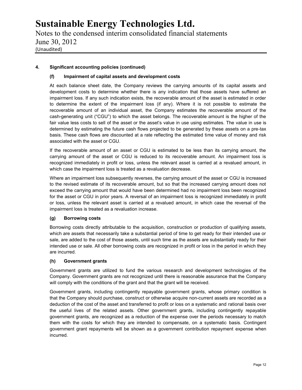Notes to the condensed interim consolidated financial statements June 30, 2012 (Unaudited)

## **4. Significant accounting policies (continued)**

## **(f) Impairment of capital assets and development costs**

At each balance sheet date, the Company reviews the carrying amounts of its capital assets and development costs to determine whether there is any indication that those assets have suffered an impairment loss. If any such indication exists, the recoverable amount of the asset is estimated in order to determine the extent of the impairment loss (if any). Where it is not possible to estimate the recoverable amount of an individual asset, the Company estimates the recoverable amount of the cash-generating unit ("CGU") to which the asset belongs. The recoverable amount is the higher of the fair value less costs to sell of the asset or the asset's value in use using estimates. The value in use is determined by estimating the future cash flows projected to be generated by these assets on a pre-tax basis. These cash flows are discounted at a rate reflecting the estimated time value of money and risk associated with the asset or CGU.

If the recoverable amount of an asset or CGU is estimated to be less than its carrying amount, the carrying amount of the asset or CGU is reduced to its recoverable amount. An impairment loss is recognized immediately in profit or loss, unless the relevant asset is carried at a revalued amount, in which case the impairment loss is treated as a revaluation decrease.

Where an impairment loss subsequently reverses, the carrying amount of the asset or CGU is increased to the revised estimate of its recoverable amount, but so that the increased carrying amount does not exceed the carrying amount that would have been determined had no impairment loss been recognized for the asset or CGU in prior years. A reversal of an impairment loss is recognized immediately in profit or loss, unless the relevant asset is carried at a revalued amount, in which case the reversal of the impairment loss is treated as a revaluation increase.

## **(g) Borrowing costs**

Borrowing costs directly attributable to the acquisition, construction or production of qualifying assets, which are assets that necessarily take a substantial period of time to get ready for their intended use or sale, are added to the cost of those assets, until such time as the assets are substantially ready for their intended use or sale. All other borrowing costs are recognized in profit or loss in the period in which they are incurred.

## **(h) Government grants**

Government grants are utilized to fund the various research and development technologies of the Company. Government grants are not recognized until there is reasonable assurance that the Company will comply with the conditions of the grant and that the grant will be received.

Government grants, including contingently repayable government grants, whose primary condition is that the Company should purchase, construct or otherwise acquire non-current assets are recorded as a deduction of the cost of the asset and transferred to profit or loss on a systematic and rational basis over the useful lives of the related assets. Other government grants, including contingently repayable government grants, are recognized as a reduction of the expense over the periods necessary to match them with the costs for which they are intended to compensate, on a systematic basis. Contingent government grant repayments will be shown as a government contribution repayment expense when incurred.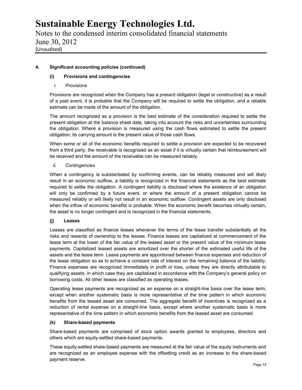Notes to the condensed interim consolidated financial statements June 30, 2012 (Unaudited)

## **4. Significant accounting policies (continued)**

## **(i) Provisions and contingencies**

## *i. Provisions*

Provisions are recognized when the Company has a present obligation (legal or constructive) as a result of a past event, it is probable that the Company will be required to settle the obligation, and a reliable estimate can be made of the amount of the obligation.

The amount recognized as a provision is the best estimate of the consideration required to settle the present obligation at the balance sheet date, taking into account the risks and uncertainties surrounding the obligation. Where a provision is measured using the cash flows estimated to settle the present obligation, its carrying amount is the present value of those cash flows.

When some or all of the economic benefits required to settle a provision are expected to be recovered from a third party, the receivable is recognized as an asset if it is virtually certain that reimbursement will be received and the amount of the receivable can be measured reliably.

## *ii. Contingencies*

When a contingency is substantiated by confirming events, can be reliably measured and will likely result in an economic outflow, a liability is recognized in the financial statements as the best estimate required to settle the obligation. A contingent liability is disclosed where the existence of an obligation will only be confirmed by a future event, or where the amount of a present obligation cannot be measured reliably or will likely not result in an economic outflow. Contingent assets are only disclosed when the inflow of economic benefits is probable. When the economic benefit becomes virtually certain, the asset is no longer contingent and is recognized in the financial statements.

## **(j) Leases**

Leases are classified as finance leases whenever the terms of the lease transfer substantially all the risks and rewards of ownership to the lessee. Finance leases are capitalized at commencement of the lease term at the lower of the fair value of the leased asset or the present value of the minimum lease payments. Capitalized leased assets are amortized over the shorter of the estimated useful life of the assets and the lease term. Lease payments are apportioned between finance expenses and reduction of the lease obligation so as to achieve a constant rate of interest on the remaining balance of the liability. Finance expenses are recognized immediately in profit or loss, unless they are directly attributable to qualifying assets, in which case they are capitalized in accordance with the Company's general policy on borrowing costs. All other leases are classified as operating leases.

Operating lease payments are recognized as an expense on a straight-line basis over the lease term, except when another systematic basis is more representative of the time pattern in which economic benefits from the leased asset are consumed. The aggregate benefit of incentives is recognized as a reduction of rental expense on a straight-line basis, except where another systematic basis is more representative of the time pattern in which economic benefits from the leased asset are consumed.

## **(k) Share-based payments**

Share-based payments are comprised of stock option awards granted to employees, directors and others which are equity-settled share-based payments.

These equity-settled share-based payments are measured at the fair value of the equity instruments and are recognized as an employee expense with the offsetting credit as an increase to the share-based payment reserve.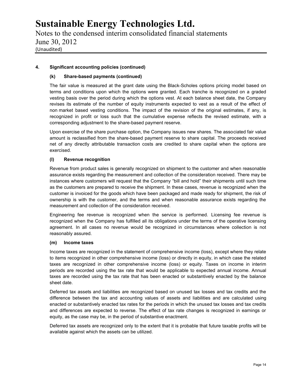Notes to the condensed interim consolidated financial statements June 30, 2012 (Unaudited)

## **4. Significant accounting policies (continued)**

## **(k) Share-based payments (continued)**

The fair value is measured at the grant date using the Black-Scholes options pricing model based on terms and conditions upon which the options were granted. Each tranche is recognized on a graded vesting basis over the period during which the options vest. At each balance sheet date, the Company revises its estimate of the number of equity instruments expected to vest as a result of the effect of non market based vesting conditions. The impact of the revision of the original estimates, if any, is recognized in profit or loss such that the cumulative expense reflects the revised estimate, with a corresponding adjustment to the share-based payment reserve.

Upon exercise of the share purchase option, the Company issues new shares. The associated fair value amount is reclassified from the share-based payment reserve to share capital. The proceeds received net of any directly attributable transaction costs are credited to share capital when the options are exercised.

## **(l) Revenue recognition**

Revenue from product sales is generally recognized on shipment to the customer and when reasonable assurance exists regarding the measurement and collection of the consideration received. There may be instances where customers will request that the Company "bill and hold" their shipments until such time as the customers are prepared to receive the shipment. In these cases, revenue is recognized when the customer is invoiced for the goods which have been packaged and made ready for shipment, the risk of ownership is with the customer, and the terms and when reasonable assurance exists regarding the measurement and collection of the consideration received.

Engineering fee revenue is recognized when the service is performed. Licensing fee revenue is recognized when the Company has fulfilled all its obligations under the terms of the operative licensing agreement. In all cases no revenue would be recognized in circumstances where collection is not reasonably assured.

## **(m) Income taxes**

Income taxes are recognized in the statement of comprehensive income (loss), except where they relate to items recognized in other comprehensive income (loss) or directly in equity, in which case the related taxes are recognized in other comprehensive income (loss) or equity. Taxes on income in interim periods are recorded using the tax rate that would be applicable to expected annual income. Annual taxes are recorded using the tax rate that has been enacted or substantively enacted by the balance sheet date.

Deferred tax assets and liabilities are recognized based on unused tax losses and tax credits and the difference between the tax and accounting values of assets and liabilities and are calculated using enacted or substantively enacted tax rates for the periods in which the unused tax losses and tax credits and differences are expected to reverse. The effect of tax rate changes is recognized in earnings or equity, as the case may be, in the period of substantive enactment.

Deferred tax assets are recognized only to the extent that it is probable that future taxable profits will be available against which the assets can be utilized.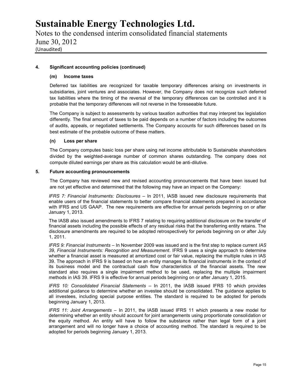Notes to the condensed interim consolidated financial statements June 30, 2012 (Unaudited)

## **4. Significant accounting policies (continued)**

#### **(m) Income taxes**

Deferred tax liabilities are recognized for taxable temporary differences arising on investments in subsidiaries, joint ventures and associates. However, the Company does not recognize such deferred tax liabilities where the timing of the reversal of the temporary differences can be controlled and it is probable that the temporary differences will not reverse in the foreseeable future.

The Company is subject to assessments by various taxation authorities that may interpret tax legislation differently. The final amount of taxes to be paid depends on a number of factors including the outcomes of audits, appeals, or negotiated settlements. The Company accounts for such differences based on its best estimate of the probable outcome of these matters.

#### **(n) Loss per share**

The Company computes basic loss per share using net income attributable to Sustainable shareholders divided by the weighted-average number of common shares outstanding. The company does not compute diluted earnings per share as this calculation would be anti-dilutive.

#### **5. Future accounting pronouncements**

The Company has reviewed new and revised accounting pronouncements that have been issued but are not yet effective and determined that the following may have an impact on the Company:

*IFRS 7: Financial Instruments: Disclosures –* In 2011, IASB issued new disclosure requirements that enable users of the financial statements to better compare financial statements prepared in accordance with IFRS and US GAAP. The new requirements are effective for annual periods beginning on or after January 1, 2013.

The IASB also issued amendments to IFRS 7 relating to requiring additional disclosure on the transfer of financial assets including the possible effects of any residual risks that the transferring entity retains. The disclosure amendments are required to be adopted retrospectively for periods beginning on or after July 1, 2011.

*IFRS 9: Financial Instruments –* In November 2009 was issued and is the first step to replace current *IAS 39, Financial Instruments: Recognition and Measurement*. IFRS 9 uses a single approach to determine whether a financial asset is measured at amortized cost or fair value, replacing the multiple rules in IAS 39. The approach in IFRS 9 is based on how an entity manages its financial instruments in the context of its business model and the contractual cash flow characteristics of the financial assets. The new standard also requires a single impairment method to be used, replacing the multiple impairment methods in IAS 39. IFRS 9 is effective for annual periods beginning on or after January 1, 2015.

*IFRS 10: Consolidated Financial Statements* – In 2011, the IASB issued IFRS 10 which provides additional guidance to determine whether an investee should be consolidated. The guidance applies to all investees, including special purpose entities. The standard is required to be adopted for periods beginning January 1, 2013.

*IFRS 11: Joint Arrangements* – In 2011, the IASB issued IFRS 11 which presents a new model for determining whether an entity should account for joint arrangements using proportionate consolidation or the equity method. An entity will have to follow the substance rather than legal form of a joint arrangement and will no longer have a choice of accounting method. The standard is required to be adopted for periods beginning January 1, 2013.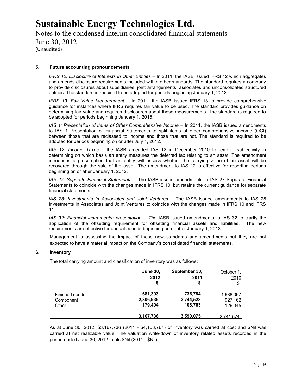Notes to the condensed interim consolidated financial statements June 30, 2012 (Unaudited)

#### **5. Future accounting pronouncements**

*IFRS 12: Disclosure of Interests in Other Entities* – In 2011, the IASB issued IFRS 12 which aggregates and amends disclosure requirements included within other standards. The standard requires a company to provide disclosures about subsidiaries, joint arrangements, associates and unconsolidated structured entities. The standard is required to be adopted for periods beginning January 1, 2013.

*IFRS 13: Fair Value Measurement* – In 2011, the IASB issued IFRS 13 to provide comprehensive guidance for instances where IFRS requires fair value to be used. The standard provides guidance on determining fair value and requires disclosures about those measurements. The standard is required to be adopted for periods beginning January 1, 2015.

*IAS 1: Presentation of Items of Other Comprehensive Income - In 2011*, the IASB issued amendments to IAS 1 Presentation of Financial Statements to split items of other comprehensive income (OCI) between those that are reclassed to income and those that are not. The standard is required to be adopted for periods beginning on or after July 1, 2012.

*IAS 12: Income Taxes* – the IASB amended IAS 12 in December 2010 to remove subjectivity in determining on which basis an entity measures the deferred tax relating to an asset. The amendment introduces a presumption that an entity will assess whether the carrying value of an asset will be recovered through the sale of the asset. The amendment to IAS 12 is effective for reporting periods beginning on or after January 1, 2012.

*IAS 27: Separate Financial Statements* – The IASB issued amendments to IAS 27 Separate Financial Statements to coincide with the changes made in IFRS 10, but retains the current guidance for separate financial statements.

*lAS 28: Investments in Associates and Joint Ventures* – The lASB issued amendments to lAS 28 Investments in Associates and Joint Ventures to coincide with the changes made in IFRS 10 and IFRS 11.

*IAS 32: Financial instruments: presentation – The IASB issued amendments to IAS 32 to clarify the* application of the offsetting requirement for offsetting financial assets and liabilities. The new requirements are effective for annual periods beginning on or after January 1, 2013

Management is assessing the impact of these new standards and amendments but they are not expected to have a material impact on the Company's consolidated financial statements.

#### **6. Inventory**

The total carrying amount and classification of inventory was as follows:

|                             | <b>June 30,</b><br>2012 | September 30,<br>2011 | October 1,<br>2010   |
|-----------------------------|-------------------------|-----------------------|----------------------|
|                             | S                       |                       | S                    |
| Finished goods<br>Component | 681,393<br>2,306,939    | 736,784<br>2,744,528  | 1.688.067<br>927.162 |
| Other                       | 179.404                 | 108.763               | 126.345              |
|                             | 3.167.736               | 3.590.075             | 2.741.574            |

As at June 30, 2012, \$3,167,736 (2011 - \$4,103,761) of inventory was carried at cost and \$Nil was carried at net realizable value. The valuation write-down of inventory related assets recorded in the period ended June 30, 2012 totals \$Nil (2011 - \$Nil).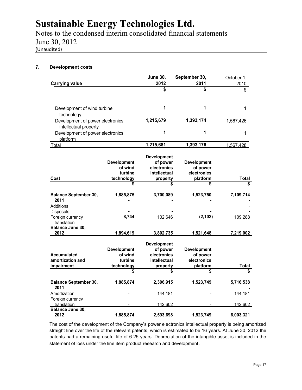Notes to the condensed interim consolidated financial statements June 30, 2012 (Unaudited)

## **7. Development costs**

|                                                           |                    | <b>June 30,</b>    | September 30,      | October 1,   |
|-----------------------------------------------------------|--------------------|--------------------|--------------------|--------------|
| <b>Carrying value</b>                                     |                    | 2012<br>\$         | 2011<br>\$         | 2010         |
|                                                           |                    |                    |                    | \$           |
| Development of wind turbine                               |                    | 1                  | 1                  | 1            |
| technology                                                |                    |                    |                    |              |
| Development of power electronics<br>intellectual property |                    | 1,215,679          | 1,393,174          | 1,567,426    |
| Development of power electronics                          |                    | 1                  | 1                  | 1            |
| platform                                                  |                    |                    |                    |              |
| Total                                                     |                    | 1,215,681          | 1,393,176          | 1,567,428    |
|                                                           |                    | <b>Development</b> |                    |              |
|                                                           | <b>Development</b> | of power           | <b>Development</b> |              |
|                                                           | of wind            | electronics        | of power           |              |
|                                                           | turbine            | intellectual       | electronics        |              |
| Cost                                                      | technology         | property           | platform           | <b>Total</b> |
|                                                           | \$                 | S                  | \$                 |              |
|                                                           |                    |                    |                    |              |
| <b>Balance September 30,</b><br>2011                      | 1,885,875          | 3,700,089          | 1,523,750          | 7,109,714    |
| Additions                                                 |                    |                    |                    |              |
| <b>Disposals</b>                                          |                    |                    |                    |              |
| Foreign currency                                          | 8,744              | 102,646            | (2, 102)           | 109,288      |
| translation                                               |                    |                    |                    |              |
| Balance June 30,                                          |                    |                    |                    |              |
| 2012                                                      | 1,894,619          | 3,802,735          | 1,521,648          | 7,219,002    |
|                                                           |                    | <b>Development</b> |                    |              |
|                                                           | <b>Development</b> | of power           | <b>Development</b> |              |
| <b>Accumulated</b>                                        | of wind            | electronics        | of power           |              |
| amortization and                                          | turbine            | intellectual       | electronics        |              |
| impairment                                                | technology         | property           | platform           | Total        |
|                                                           | \$                 | \$                 | \$                 |              |
| <b>Balance September 30,</b><br>2011                      | 1,885,874          | 2,306,915          | 1,523,749          | 5,716,538    |
| Amortization                                              |                    | 144,181            |                    | 144,181      |
| Foreign currency                                          |                    |                    |                    |              |
| translation                                               |                    | 142,602            |                    | 142,602      |
| Balance June 30,                                          |                    |                    |                    |              |
| 2012                                                      | 1,885,874          | 2,593,698          | 1,523,749          | 6,003,321    |

The cost of the development of the Company's power electronics intellectual property is being amortized straight line over the life of the relevant patents, which is estimated to be 16 years. At June 30, 2012 the patents had a remaining useful life of 6.25 years. Depreciation of the intangible asset is included in the statement of loss under the line item product research and development.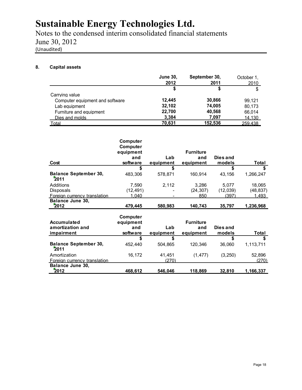Notes to the condensed interim consolidated financial statements June 30, 2012 (Unaudited)

## **8. Capital assets**

|                                 | <b>June 30,</b><br>2012 | September 30,<br>2011 | October 1.<br><u>2010</u> |
|---------------------------------|-------------------------|-----------------------|---------------------------|
|                                 |                         |                       | \$                        |
| Carrving value                  |                         |                       |                           |
| Computer equipment and software | 12.445                  | 30,866                | 99.121                    |
| Lab equipment                   | 32.102                  | 74.005                | 80,173                    |
| Furniture and equipment         | 22.700                  | 40,568                | 66,014                    |
| Dies and molds                  | 3,384                   | 7,097                 | 14.130                    |
| Total                           | 70.631                  | 152.536               | 259.438                   |

|                                      | Computer<br>Computer |           |                  |          |           |
|--------------------------------------|----------------------|-----------|------------------|----------|-----------|
|                                      | equipment            |           | <b>Furniture</b> |          |           |
|                                      | and                  | Lab       | and              | Dies and |           |
| Cost                                 | software             | equipment | equipment        | models   | Total     |
|                                      | \$                   | \$        |                  | \$       | \$        |
| <b>Balance September 30,</b><br>2011 | 483,306              | 578,871   | 160,914          | 43,156   | 1,266,247 |
| Additions                            | 7,590                | 2.112     | 3,286            | 5,077    | 18,065    |
| Disposals                            | (12, 491)            |           | (24, 307)        | (12,039) | (48, 837) |
| <b>Foreign currency translation</b>  | 1,040                |           | 850              | (397)    | 1,493     |
| Balance June 30,                     |                      |           |                  |          |           |
| 2012                                 | 479,445              | 580,983   | 140,743          | 35,797   | 1,236,968 |
|                                      | Computer             |           |                  |          |           |
| Accumulated                          | equipment            |           | <b>Furniture</b> |          |           |
| amortization and                     | and                  | Lab       | and              | Dies and |           |
| impairment                           | software             | equipment | equipment        | models   | Total     |
|                                      | \$                   | \$        |                  | \$       | \$        |
| <b>Balance September 30,</b><br>2011 | 452.440              | 504,865   | 120,346          | 36,060   | 1,113,711 |
| Amortization                         | 16,172               | 41.451    | (1, 477)         | (3,250)  | 52,896    |
| Foreign currency translation         |                      | (270)     |                  |          | (270)     |
| Balance June 30,                     |                      |           |                  |          |           |
| 2012                                 | 468,612              | 546.046   | 118,869          | 32,810   | 1,166,337 |

**2012 468,612 546,046 118,869 32,810 1,166,337**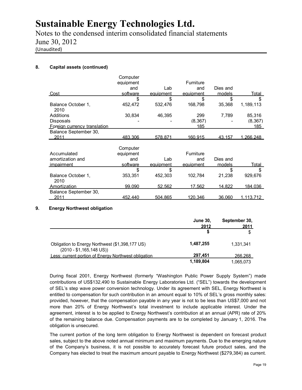Notes to the condensed interim consolidated financial statements June 30, 2012 (Unaudited)

## **8. Capital assets (continued)**

|                              | Computer  |           |                  |               |                   |
|------------------------------|-----------|-----------|------------------|---------------|-------------------|
|                              | equipment |           | <b>Furniture</b> |               |                   |
|                              | and       | Lab       | and              | Dies and      |                   |
| <u>Cost</u>                  | software  | equipment | equipment        | models        | <u>Total</u>      |
|                              | \$        | \$        | \$               | \$            | \$                |
| Balance October 1.           | 452,472   | 532.476   | 168,798          | 35.368        | 1,189,113         |
| 2010                         |           |           |                  |               |                   |
| Additions                    | 30,834    | 46,395    | 299              | 7,789         | 85,316            |
| Disposals                    |           |           | (8, 367)         |               | (8, 367)          |
| Foreign currency translation |           |           | 185              |               | <u> 185 </u>      |
| Balance September 30,        |           |           |                  |               |                   |
| 2011                         | 483.306   | 578.871   | 160.915          | 43.157        | 1.266.248         |
|                              |           |           |                  |               |                   |
|                              | Computer  |           |                  |               |                   |
| Accumulated                  | equipment |           | Furniture        |               |                   |
| amortization and             | and       | Lab       | and              | Dies and      |                   |
| <i>impairment</i>            | software  | equipment | equipment        | models        | Total             |
|                              | \$        | \$        |                  | \$            | \$                |
| Balance October 1,           | 353,351   | 452.303   | 102.784          | 21,238        | 929.676           |
| 2010                         |           |           |                  |               |                   |
| Amortization                 | 99.090    | 52,562    | <u>17,562</u>    | <u>14,822</u> | <u>184,036</u>    |
| Balance September 30,        |           |           |                  |               |                   |
| 2011                         | 452.440   | 504.865   | 120.346          | 36.060        | <u>1.113.712 </u> |

## **9. Energy Northwest obligation**

|                                                                              | June 30,<br>2012 | September 30,<br>2011 |
|------------------------------------------------------------------------------|------------------|-----------------------|
|                                                                              |                  | \$                    |
| Obligation to Energy Northwest (\$1,398,177 US)<br>$(2010 - $1,165,148$ US)) | 1.487.255        | 1.331.341             |
| Less: current portion of Energy Northwest obligation                         | 297.451          | 266.268               |
|                                                                              | 1,189,804        | 1.065.073             |

During fiscal 2001, Energy Northwest (formerly "Washington Public Power Supply System") made contributions of US\$132,490 to Sustainable Energy Laboratories Ltd. ("SEL") towards the development of SEL's step wave power conversion technology. Under its agreement with SEL, Energy Northwest is entitled to compensation for such contribution in an amount equal to 10% of SEL's gross monthly sales: provided, however, that the compensation payable in any year is not to be less than US\$7,000 and not more than 20% of Energy Northwest's total investment to include applicable interest. Under the agreement, interest is to be applied to Energy Northwest's contribution at an annual (APR) rate of 20% of the remaining balance due. Compensation payments are to be completed by January 1, 2016. The obligation is unsecured.

The current portion of the long term obligation to Energy Northwest is dependent on forecast product sales, subject to the above noted annual minimum and maximum payments. Due to the emerging nature of the Company's business, it is not possible to accurately forecast future product sales, and the Company has elected to treat the maximum amount payable to Energy Northwest (\$279,384) as current.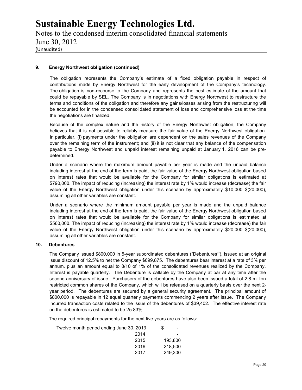Notes to the condensed interim consolidated financial statements June 30, 2012 (Unaudited)

## **9. Energy Northwest obligation (continued)**

The obligation represents the Company's estimate of a fixed obligation payable in respect of contributions made by Energy Northwest for the early development of the Company's technology. The obligation is non-recourse to the Company and represents the best estimate of the amount that could be repayable by SEL. The Company is in negotiations with Energy Northwest to restructure the terms and conditions of the obligation and therefore any gains/losses arising from the restructuring will be accounted for in the condensed consolidated statement of loss and comprehensive loss at the time the negotiations are finalized.

Because of the complex nature and the history of the Energy Northwest obligation, the Company believes that it is not possible to reliably measure the fair value of the Energy Northwest obligation. In particular, (i) payments under the obligation are dependent on the sales revenues of the Company over the remaining term of the instrument; and (ii) it is not clear that any balance of the compensation payable to Energy Northwest and unpaid interest remaining unpaid at January 1, 2016 can be pre determined.

Under a scenario where the maximum amount payable per year is made and the unpaid balance including interest at the end of the term is paid, the fair value of the Energy Northwest obligation based on interest rates that would be available for the Company for similar obligations is estimated at \$790,000. The impact of reducing (increasing) the interest rate by 1% would increase (decrease) the fair value of the Energy Northwest obligation under this scenario by approximately \$10,000 \$(20,000), assuming all other variables are constant.

Under a scenario where the minimum amount payable per year is made and the unpaid balance including interest at the end of the term is paid, the fair value of the Energy Northwest obligation based on interest rates that would be available for the Company for similar obligations is estimated at \$560,000. The impact of reducing (increasing) the interest rate by 1% would increase (decrease) the fair value of the Energy Northwest obligation under this scenario by approximately \$20,000 \$(20,000), assuming all other variables are constant.

## **10. Debentures**

The Company issued \$800,000 in 5-year subordinated debentures ("Debentures**"**), issued at an original issue discount of 12.5% to net the Company \$699,875. The debentures bear interest at a rate of 3% per annum, plus an amount equal to 8/10 of 1% of the consolidated revenues realized by the Company. Interest is payable quarterly. The Debenture is callable by the Company at par at any time after the second anniversary of issue. Purchasers of the debentures have also been issued a total of 2.8 million restricted common shares of the Company, which will be released on a quarterly basis over the next 2 year period. The debentures are secured by a general security agreement. The principal amount of \$800,000 is repayable in 12 equal quarterly payments commencing 2 years after issue. The Company incurred transaction costs related to the issue of the debentures of \$39,402. The effective interest rate on the debentures is estimated to be 25.83%.

The required principal repayments for the next five years are as follows:

| Twelve month period ending June 30, 2013 | S<br>-  |  |
|------------------------------------------|---------|--|
| 2014                                     | -       |  |
| 2015                                     | 193.800 |  |
| 2016                                     | 218,500 |  |
| 2017                                     | 249,300 |  |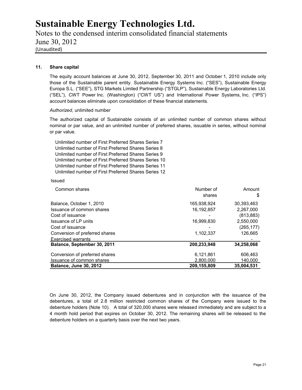Notes to the condensed interim consolidated financial statements June 30, 2012 (Unaudited)

#### **11. Share capital**

The equity account balances at June 30, 2012, September 30, 2011 and October 1, 2010 include only those of the Sustainable parent entity. Sustainable Energy Systems Inc. ("SES"), Sustainable Energy Europa S.L. ("SEE"), STG Markets Limited Partnership ("STGLP"), Sustainable Energy Laboratories Ltd. ("SEL"), CWT Power Inc. (Washington) ("CWT US") and International Power Systems, Inc. ("IPS") account balances eliminate upon consolidation of these financial statements.

#### *Authorized,* unlimited number

The authorized capital of Sustainable consists of an unlimited number of common shares without nominal or par value, and an unlimited number of preferred shares, issuable in series, without nominal or par value.

Unlimited number of First Preferred Shares Series 7 Unlimited number of First Preferred Shares Series 8 Unlimited number of First Preferred Shares Series 9 Unlimited number of First Preferred Shares Series 10 Unlimited number of First Preferred Shares Series 11 Unlimited number of First Preferred Shares Series 12

#### Issued

| Common shares                  | Number of   | Amount     |
|--------------------------------|-------------|------------|
|                                | shares      | \$         |
| Balance, October 1, 2010       | 165,938,924 | 30,393,463 |
| Issuance of common shares      | 16.192.857  | 2.267.000  |
| Cost of issuance               |             | (813, 883) |
| Issuance of LP units           | 16,999,830  | 2,550,000  |
| Cost of issuance               |             | (265, 177) |
| Conversion of preferred shares | 1,102,337   | 126.665    |
| <b>Exercised warrants</b>      |             |            |
| Balance, September 30, 2011    | 200,233,948 | 34,258,068 |
| Conversion of preferred shares | 6,121,861   | 606,463    |
| Issuance of common shares      | 2.800.000   | 140.000    |
| <b>Balance, June 30, 2012</b>  | 209,155,809 | 35,004,531 |

On June 30, 2012, the Company issued debentures and in conjunction with the issuance of the debentures, a total of 2.8 million restricted common shares of the Company were issued to the debenture holders (Note 10). A total of 320,000 shares were released immediately and are subject to a 4 month hold period that expires on October 30, 2012. The remaining shares will be released to the debenture holders on a quarterly basis over the next two years.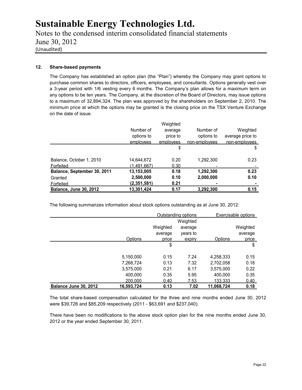Notes to the condensed interim consolidated financial statements June 30, 2012 (Unaudited)

## **12. Share-based payments**

The Company has established an option plan (the "Plan") whereby the Company may grant options to purchase common shares to directors, officers, employees, and consultants. Options generally vest over a 3-year period with 1/6 vesting every 6 months. The Company's plan allows for a maximum term on any options to be ten years. The Company, at the discretion of the Board of Directors, may issue options to a maximum of 32,894,324. The plan was approved by the shareholders on September 2, 2010. The minimum price at which the options may be granted is the closing price on the TSX Venture Exchange on the date of issue.

|                               |               | Weighted  |               |                  |
|-------------------------------|---------------|-----------|---------------|------------------|
|                               | Number of     | average   | Number of     | Weighted         |
|                               | options to    | price to  | options to    | average price to |
|                               | employees     | employees | non-employees | non-employees    |
|                               |               | \$        |               | \$               |
| Balance, October 1, 2010      | 14,644,672    | 0.20      | 1,292,300     | 0.23             |
| Forfeited                     | (1.491.667)   | 0.30      |               |                  |
| Balance, September 30, 2011   | 13,153,005    | 0.18      | 1,292,300     | 0.23             |
| Granted                       | 2,500,000     | 0.10      | 2,000,000     | 0.10             |
| Forfeited                     | (2, 351, 581) | 0.21      | ٠             |                  |
| <b>Balance, June 30, 2012</b> | 13,301,424    | 0.17      | 3,292,300     | 0.15             |

The following summarizes information about stock options outstanding as at June 30, 2012:

|                       |                |          | Outstanding options |                | Exercisable options |
|-----------------------|----------------|----------|---------------------|----------------|---------------------|
|                       |                |          | Weighted            |                |                     |
|                       |                | Weighted | average             |                | Weighted            |
|                       |                | average  | years to            |                | average             |
|                       | <b>Options</b> | price    | expiry              | Options        | price               |
|                       |                | \$       |                     |                | \$                  |
|                       | 5,150,000      | 0.15     | 7.24                | 4,258,333      | 0.15                |
|                       | 7,268,724      | 0.13     | 7.32                | 2,702,058      | 0.18                |
|                       | 3,575,000      | 0.21     | 6.17                | 3,575,000      | 0.22                |
|                       | 400.000        | 0.35     | 5.95                | 400.000        | 0.35                |
|                       | 200,000        | 0.40     | <u>7.53</u>         | <u>133.333</u> | 0.40                |
| Balance June 30, 2012 | 16,593,724     | 0.13     | 7.02                | 11,068,724     | 0.18                |

The total share-based compensation calculated for the three and nine months ended June 30, 2012 were \$39,726 and \$85,209 respectively (2011 - \$63,691 and \$237,040).

There have been no modifications to the above stock option plan for the nine months ended June 30, 2012 or the year ended September 30, 2011.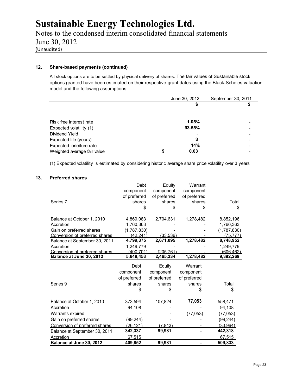Notes to the condensed interim consolidated financial statements June 30, 2012 (Unaudited)

## **12. Share-based payments (continued)**

All stock options are to be settled by physical delivery of shares. The fair values of Sustainable stock options granted have been estimated on their respective grant dates using the Black-Scholes valuation model and the following assumptions:

|                             |   | June 30, 2012 | September 30, 2011 |
|-----------------------------|---|---------------|--------------------|
|                             |   | \$            |                    |
|                             |   |               |                    |
|                             |   | 1.05%         |                    |
| Risk free interest rate     |   |               |                    |
| Expected volatility (1)     |   | 93.55%        |                    |
| Dividend Yield              |   |               |                    |
| Expected life (years)       |   | 3             |                    |
| Expected forfeiture rate    |   | 14%           |                    |
| Weighted average fair value | S | 0.03          |                    |

(1) Expected volatility is estimated by considering historic average share price volatility over 3 years

#### **13. Preferred shares**

|                                | Debt         | Equity       | Warrant        |              |
|--------------------------------|--------------|--------------|----------------|--------------|
|                                | component    | component    | component      |              |
|                                | of preferred | of preferred | of preferred   |              |
| Series 7                       | shares       | shares       | shares         | <u>Total</u> |
|                                | \$           | \$           | \$             | \$           |
| Balance at October 1, 2010     | 4,869,083    | 2,704,631    | 1,278,482      | 8,852,196    |
| Accretion                      | 1,760,363    |              |                | 1,760,363    |
| Gain on preferred shares       | (1,787,830)  |              |                | (1,787,830)  |
| Conversion of preferred shares | (42.241)     | (33.536)     |                | (75.777)     |
| Balance at September 30, 2011  | 4,799,375    | 2,671,095    | 1,278,482      | 8,748,952    |
| Accretion                      | 1,249,779    |              |                | 1,249,779    |
| Conversion of preferred shares | (400.701)    | (205.761)    |                | (606.462)    |
| Balance at June 30, 2012       | 5,648,453    | 2,465,334    | 1,278,482      | 9,392,269    |
|                                | Debt         | Equity       | Warrant        |              |
|                                | component    | component    | component      |              |
|                                | of preferred | of preferred | of preferred   |              |
| Series 9                       | shares       | shares       | shares         | <u>Total</u> |
|                                | \$           | \$           | \$             | \$           |
| Balance at October 1, 2010     | 373,594      | 107,824      | 77,053         | 558,471      |
| Accretion                      | 94,108       |              |                | 94,108       |
| Warrants expired               |              |              | (77, 053)      | (77,053)     |
| Gain on preferred shares       | (99, 244)    |              |                | (99, 244)    |
| Conversion of preferred shares | (26, 121)    | (7.843)      |                | (33,964)     |
| Balance at September 30, 2011  | 342,337      | 99,981       |                | 442,318      |
| <b>Accretion</b>               | 67.515       |              |                | 67.515       |
| Balance at June 30, 2012       | 409,852      | 99,981       | $\blacksquare$ | 509,833      |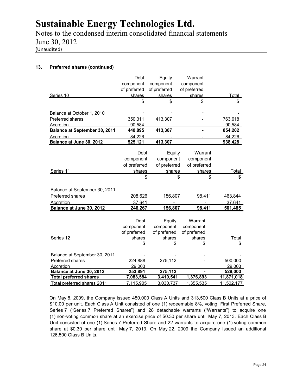Notes to the condensed interim consolidated financial statements June 30, 2012 (Unaudited)

## **13. Preferred shares (continued)**

|                                      | Debt         | Equity       | Warrant      |              |
|--------------------------------------|--------------|--------------|--------------|--------------|
|                                      | component    | component    | component    |              |
|                                      | of preferred | of preferred | of preferred |              |
| Series 10                            | shares       | shares       | shares       | Total        |
|                                      | \$           | \$           | S            | \$           |
| Balance at October 1, 2010           |              |              |              |              |
| Preferred shares                     | 350,311      | 413,307      |              | 763,618      |
| Accretion                            | 90,584       |              |              | 90,584       |
| <b>Balance at September 30, 2011</b> | 440,895      | 413,307      |              | 854,202      |
| Accretion                            | 84,226       |              |              | 84,226       |
| Balance at June 30, 2012             | 525,121      | 413,307      |              | 938,428      |
|                                      |              |              |              |              |
|                                      | Debt         | Equity       | Warrant      |              |
|                                      | component    | component    | component    |              |
|                                      | of preferred | of preferred | of preferred |              |
| Series 11                            | shares       | shares       | shares       | Total        |
|                                      | \$           | \$           | \$           | \$           |
|                                      |              |              |              |              |
| Balance at September 30, 2011        |              |              |              |              |
| Preferred shares                     | 208,626      | 156,807      | 98,411       | 463,844      |
| Accretion                            | 37,641       |              |              | 37,641       |
| Balance at June 30, 2012             | 246,267      | 156,807      | 98,411       | 501,485      |
|                                      |              |              |              |              |
|                                      | Debt         | Equity       | Warrant      |              |
|                                      | component    | component    | component    |              |
|                                      | of preferred | of preferred | of preferred |              |
| Series 12                            | shares       | shares       | shares       | <b>Total</b> |
|                                      | \$           | \$           | \$           | \$           |
|                                      |              |              |              |              |
| Balance at September 30, 2011        |              |              |              |              |
| Preferred shares                     | 224,888      | 275,112      |              | 500,000      |
| Accretion                            | 29,003       |              |              | 29,003       |
| Balance at June 30, 2012             | 253,891      | 275,112      |              | 529,003      |
| <b>Total preferred shares</b>        | 7,083,584    | 3,410,541    | 1,376,893    | 11,871,018   |
| Total preferred shares 2011          | 7,115,905    | 3,030,737    | 1,355,535    | 11,502,177   |

On May 8, 2009, the Company issued 450,000 Class A Units and 313,500 Class B Units at a price of \$10.00 per unit. Each Class A Unit consisted of one (1) redeemable 8%, voting, First Preferred Share, Series 7 ("Series 7 Preferred Shares") and 28 detachable warrants ("Warrants") to acquire one (1) non-voting common share at an exercise price of \$0.30 per share until May 7, 2013. Each Class B Unit consisted of one (1) Series 7 Preferred Share and 22 warrants to acquire one (1) voting common share at \$0.30 per share until May 7, 2013. On May 22, 2009 the Company issued an additional 126,500 Class B Units.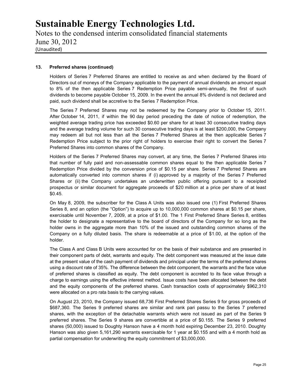Notes to the condensed interim consolidated financial statements June 30, 2012 (Unaudited)

## **13. Preferred shares (continued)**

Holders of Series 7 Preferred Shares are entitled to receive as and when declared by the Board of Directors out of moneys of the Company applicable to the payment of annual dividends an amount equal to 8% of the then applicable Series 7 Redemption Price payable semi-annually, the first of such dividends to become payable October 15, 2009. In the event the annual 8% dividend is not declared and paid, such dividend shall be accretive to the Series 7 Redemption Price.

The Series 7 Preferred Shares may not be redeemed by the Company prior to October 15, 2011. After October 14, 2011, if within the 90 day period preceding the date of notice of redemption, the weighted average trading price has exceeded \$0.60 per share for at least 30 consecutive trading days and the average trading volume for such 30 consecutive trading days is at least \$200,000, the Company may redeem all but not less than all the Series 7 Preferred Shares at the then applicable Series 7 Redemption Price subject to the prior right of holders to exercise their right to convert the Series 7 Preferred Shares into common shares of the Company.

Holders of the Series 7 Preferred Shares may convert, at any time, the Series 7 Preferred Shares into that number of fully paid and non-assessable common shares equal to the then applicable Series 7 Redemption Price divided by the conversion price of \$0.15 per share. Series 7 Preferred Shares are automatically converted into common shares if (i) approved by a majority of the Series 7 Preferred Shares or (ii) the Company undertakes an underwritten public offering pursuant to a receipted prospectus or similar document for aggregate proceeds of \$20 million at a price per share of at least \$0.45.

On May 8, 2009, the subscriber for the Class A Units was also issued one (1) First Preferred Shares Series 8, and an option (the "Option") to acquire up to 10,000,000 common shares at \$0.15 per share, exercisable until November 7, 2009, at a price of \$1.00. The 1 First Preferred Share Series 8, entitles the holder to designate a representative to the board of directors of the Company for so long as the holder owns in the aggregate more than 10% of the issued and outstanding common shares of the Company on a fully diluted basis. The share is redeemable at a price of \$1.00, at the option of the holder.

The Class A and Class B Units were accounted for on the basis of their substance and are presented in their component parts of debt, warrants and equity. The debt component was measured at the issue date at the present value of the cash payment of dividends and principal under the terms of the preferred shares using a discount rate of 35%. The difference between the debt component, the warrants and the face value of preferred shares is classified as equity. The debt component is accreted to its face value through a charge to earnings using the effective interest method. Issue costs have been allocated between the debt and the equity components of the preferred shares. Cash transaction costs of approximately \$962,310 were allocated on a pro rata basis to the carrying values.

On August 23, 2010, the Company issued 68,736 First Preferred Shares Series 9 for gross proceeds of \$687,360. The Series 9 preferred shares are similar and rank pari passu to the Series 7 preferred shares, with the exception of the detachable warrants which were not issued as part of the Series 9 preferred shares. The Series 9 shares are convertible at a price of \$0.155. The Series 9 preferred shares (50,000) issued to Doughty Hanson have a 4 month hold expiring December 23, 2010. Doughty Hanson was also given 5,161,290 warrants exercisable for 1 year at \$0.155 and with a 4 month hold as partial compensation for underwriting the equity commitment of \$3,000,000.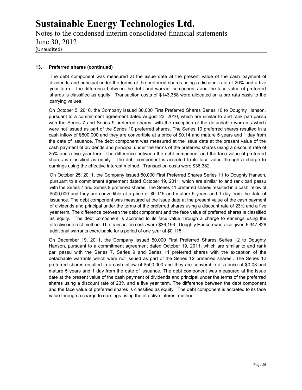Notes to the condensed interim consolidated financial statements June 30, 2012 (Unaudited)

## **13. Preferred shares (continued)**

The debt component was measured at the issue date at the present value of the cash payment of dividends and principal under the terms of the preferred shares using a discount rate of 20% and a five year term. The difference between the debt and warrant components and the face value of preferred shares is classified as equity. Transaction costs of \$143,388 were allocated on a pro rata basis to the carrying values.

On October 5, 2010, the Company issued 80,000 First Preferred Shares Series 10 to Doughty Hanson, pursuant to a commitment agreement dated August 23, 2010, which are similar to and rank pari passu with the Series 7 and Series 9 preferred shares, with the exception of the detachable warrants which were not issued as part of the Series 10 preferred shares. The Series 10 preferred shares resulted in a cash inflow of \$800,000 and they are convertible at a price of \$0.14 and mature 5 years and 1 day from the date of issuance. The debt component was measured at the issue date at the present value of the cash payment of dividends and principal under the terms of the preferred shares using a discount rate of 25% and a five year term. The difference between the debt component and the face value of preferred shares is classified as equity. The debt component is accreted to its face value through a charge to earnings using the effective interest method. Transaction costs were \$36,382.

On October 25, 2011, the Company issued 50,000 First Preferred Shares Series 11 to Doughty Hanson, pursuant to a commitment agreement dated October 19, 2011, which are similar to and rank pari passu with the Series 7 and Series 9 preferred shares, The Series 11 preferred shares resulted in a cash inflow of \$500,000 and they are convertible at a price of \$0.115 and mature 5 years and 1 day from the date of issuance. The debt component was measured at the issue date at the present value of the cash payment of dividends and principal under the terms of the preferred shares using a discount rate of 23% and a five year term. The difference between the debt component and the face value of preferred shares is classified as equity. The debt component is accreted to its face value through a charge to earnings using the effective interest method. The transaction costs were \$36,156. Doughty Hanson was also given 6,347,826 additional warrants exercisable for a period of one year at \$0.115.

On December 19, 2011, the Company issued 50,000 First Preferred Shares Series 12 to Doughty Hanson, pursuant to a commitment agreement dated October 19, 2011, which are similar to and rank pari passu with the Series 7, Series 9 and Series 11 preferred shares with the exception of the detachable warrants which were not issued as part of the Series 12 preferred shares.. The Series 12 preferred shares resulted in a cash inflow of \$500,000 and they are convertible at a price of \$0.08 and mature 5 years and 1 day from the date of issuance. The debt component was measured at the issue date at the present value of the cash payment of dividends and principal under the terms of the preferred shares using a discount rate of 23% and a five year term. The difference between the debt component and the face value of preferred shares is classified as equity. The debt component is accreted to its face value through a charge to earnings using the effective interest method.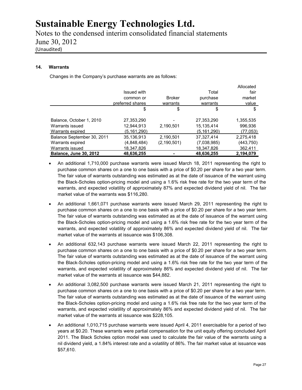Notes to the condensed interim consolidated financial statements June 30, 2012 (Unaudited)

## **14. Warrants**

Changes in the Company's purchase warrants are as follows:

|                               |                  |               |              | Allocated  |
|-------------------------------|------------------|---------------|--------------|------------|
|                               | Issued with      |               | Total        | fair       |
|                               | common or        | <b>Broker</b> | purchase     | market     |
|                               | preferred shares | warrants      | warrants     | value      |
|                               | \$               | \$            | \$           | \$         |
| Balance, October 1, 2010      | 27,353,290       |               | 27,353,290   | 1,355,535  |
| Warrants issued               | 12,944,913       | 2,190,501     | 15,135,414   | 996,936    |
| Warrants expired              | (5,161,290)      |               | (5.161, 290) | (77,053)   |
| Balance September 30, 2011    | 35,136,913       | 2,190,501     | 37,327,414   | 2,275,418  |
| Warrants expired              | (4,848,484)      | (2, 190, 501) | (7,038,985)  | (443, 750) |
| Warrants issued               | 18,347,826       |               | 18,347,826   | 362,411    |
| <b>Balance, June 30, 2012</b> | 48,636,255       |               | 48.636,255   | 2,194,079  |

- An additional 1,710,000 purchase warrants were issued March 18, 2011 representing the right to purchase common shares on a one to one basis with a price of \$0.20 per share for a two year term. The fair value of warrants outstanding was estimated as at the date of issuance of the warrant using the Black-Scholes option-pricing model and using a 1.6% risk free rate for the two year term of the warrants, and expected volatility of approximately 87% and expected dividend yield of nil. The fair market value of the warrants was \$116,280.
- An additional 1,661,071 purchase warrants were issued March 29, 2011 representing the right to purchase common shares on a one to one basis with a price of \$0.20 per share for a two year term. The fair value of warrants outstanding was estimated as at the date of issuance of the warrant using the Black-Scholes option-pricing model and using a 1.6% risk free rate for the two year term of the warrants, and expected volatility of approximately 86% and expected dividend yield of nil. The fair market value of the warrants at issuance was \$106,308.
- An additional 632,143 purchase warrants were issued March 22, 2011 representing the right to purchase common shares on a one to one basis with a price of \$0.20 per share for a two year term. The fair value of warrants outstanding was estimated as at the date of issuance of the warrant using the Black-Scholes option-pricing model and using a 1.6% risk free rate for the two year term of the warrants, and expected volatility of approximately 86% and expected dividend yield of nil. The fair market value of the warrants at issuance was \$44,882.
- An additional 3,082,500 purchase warrants were issued March 21, 2011 representing the right to purchase common shares on a one to one basis with a price of \$0.20 per share for a two year term. The fair value of warrants outstanding was estimated as at the date of issuance of the warrant using the Black-Scholes option-pricing model and using a 1.6% risk free rate for the two year term of the warrants, and expected volatility of approximately 86% and expected dividend yield of nil. The fair market value of the warrants at issuance was \$228,105.
- An additional 1,010,715 purchase warrants were issued April 4, 2011 exercisable for a period of two years at \$0.20. These warrants were partial compensation for the unit equity offering concluded April 2011. The Black Scholes option model was used to calculate the fair value of the warrants using a nil dividend yield, a 1.84% interest rate and a volatility of 86%. The fair market value at issuance was \$57,610.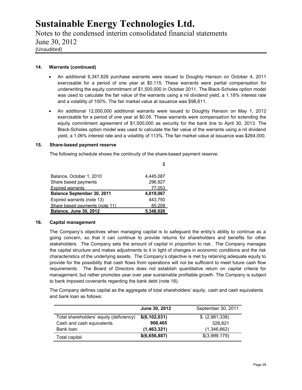Notes to the condensed interim consolidated financial statements June 30, 2012 (Unaudited)

## **14. Warrants (continued)**

- An additional 6,347,826 purchase warrants were issued to Doughty Hanson on October 4, 2011 exercisable for a period of one year at \$0.115. These warrants were partial compensation for underwriting the equity commitment of \$1,500,000 in October 2011. The Black-Scholes option model was used to calculate the fair value of the warrants using a nil dividend yield, a 1.18% interest rate and a volatility of 100%. The fair market value at issuance was \$98,611.
- An additional 12,000,000 additional warrants were issued to Doughty Hanson on May 1, 2012 exercisable for a period of one year at \$0.05. These warrants were compensation for extending the equity commitment agreement of \$1,500,000 as security for the bank line to April 30, 2013. The Black-Scholes option model was used to calculate the fair value of the warrants using a nil dividend yield, a 1.06% interest rate and a volatility of 113%. The fair market value at issuance was \$264,000.

#### **15. Share-based payment reserve**

The following schedule shows the continuity of the share-based payment reserve:

| Balance, October 1, 2010       | 4,445,087 |
|--------------------------------|-----------|
| Share based payments           | 296,927   |
| <b>Expired warrants</b>        | 77.053    |
| Balance September 30, 2011     | 4,819,067 |
| Expired warrants (note 13)     | 443,750   |
| Share based payments (note 11) | 85,209    |
| Balance, June 30, 2012         | 5,348,026 |

## **16. Capital management**

The Company's objectives when managing capital is to safeguard the entity's ability to continue as a going concern, so that it can continue to provide returns for shareholders and benefits for other stakeholders. The Company sets the amount of capital in proportion to risk. The Company manages the capital structure and makes adjustments to it in light of changes in economic conditions and the risk characteristics of the underlying assets. The Company's objective is met by retaining adequate equity to provide for the possibility that cash flows from operations will not be sufficient to meet future cash flow requirements. The Board of Directors does not establish quantitative return on capital criteria for management; but rather promotes year over year sustainable profitable growth. The Company is subject to bank imposed covenants regarding the bank debt (note 18).

The Company defines capital as the aggregate of total shareholders' equity, cash and cash equivalents and bank loan as follows:

|                                         | June 30, 2012 | September 30, 2011 |
|-----------------------------------------|---------------|--------------------|
| Total shareholders' equity (deficiency) | \$(6,102,031) | $$$ (2,981,338)    |
| Cash and cash equivalents               | 908,465       | 328.821            |
| Bank loan                               | (1,463,321)   | (1,346,662)        |
| Total capital                           | \$(6,656,887) | \$(3,999,179)      |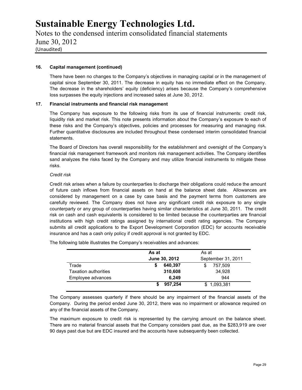Notes to the condensed interim consolidated financial statements June 30, 2012 (Unaudited)

## **16. Capital management (continued)**

There have been no changes to the Company's objectives in managing capital or in the management of capital since September 30, 2011. The decrease in equity has no immediate effect on the Company. The decrease in the shareholders' equity (deficiency) arises because the Company's comprehensive loss surpasses the equity injections and increased sales at June 30, 2012.

## **17. Financial instruments and financial risk management**

The Company has exposure to the following risks from its use of financial instruments: credit risk, liquidity risk and market risk. This note presents information about the Company's exposure to each of these risks and the Company's objectives, policies and processes for measuring and managing risk. Further quantitative disclosures are included throughout these condensed interim consolidated financial statements.

The Board of Directors has overall responsibility for the establishment and oversight of the Company's financial risk management framework and monitors risk management activities. The Company identifies sand analyzes the risks faced by the Company and may utilize financial instruments to mitigate these risks.

## *Credit risk*

Credit risk arises when a failure by counterparties to discharge their obligations could reduce the amount of future cash inflows from financial assets on hand at the balance sheet date. Allowances are considered by management on a case by case basis and the payment terms from customers are carefully reviewed. The Company does not have any significant credit risk exposure to any single counterparty or any group of counterparties having similar characteristics at June 30, 2011. The credit risk on cash and cash equivalents is considered to be limited because the counterparties are financial institutions with high credit ratings assigned by international credit rating agencies. The Company submits all credit applications to the Export Development Corporation (EDC) for accounts receivable insurance and has a cash only policy if credit approval is not granted by EDC.

The following table illustrates the Company's receivables and advances:

|                             | As at         | As at              |
|-----------------------------|---------------|--------------------|
|                             | June 30, 2012 | September 31, 2011 |
| Trade                       | 640.397       | 757,509            |
| <b>Taxation authorities</b> | 310,608       | 34.928             |
| Employee advances           | 6.249         | 944                |
|                             | 957.254       | \$1,093,381        |

The Company assesses quarterly if there should be any impairment of the financial assets of the Company. During the period ended June 30, 2012, there was no impairment or allowance required on any of the financial assets of the Company.

The maximum exposure to credit risk is represented by the carrying amount on the balance sheet. There are no material financial assets that the Company considers past due, as the \$283,919 are over 90 days past due but are EDC insured and the accounts have subsequently been collected.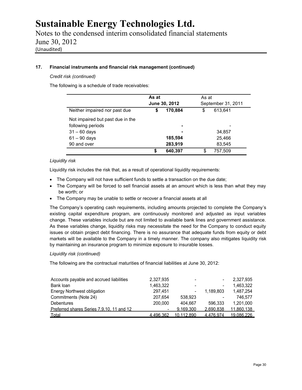Notes to the condensed interim consolidated financial statements June 30, 2012 (Unaudited)

## **17. Financial instruments and financial risk management (continued)**

## *Credit risk (continued)*

The following is a schedule of trade receivables:

|                                  | As at<br>June 30, 2012 |                | As at<br>September 31, 2011 |         |
|----------------------------------|------------------------|----------------|-----------------------------|---------|
| Neither impaired nor past due    | \$                     | 170.884        | \$                          | 613.641 |
| Not impaired but past due in the |                        |                |                             |         |
| following periods                |                        | $\blacksquare$ |                             |         |
| $31 - 60$ days                   |                        |                |                             | 34,857  |
| $61 - 90$ days                   |                        | 185,594        |                             | 25,466  |
| 90 and over                      |                        | 283,919        |                             | 83.545  |
|                                  | \$                     | 640,397        | S                           | 757,509 |

## *Liquidity risk*

Liquidity risk includes the risk that, as a result of operational liquidity requirements:

- The Company will not have sufficient funds to settle a transaction on the due date;
- The Company will be forced to sell financial assets at an amount which is less than what they may be worth; or
- The Company may be unable to settle or recover a financial assets at all

The Company's operating cash requirements, including amounts projected to complete the Company's existing capital expenditure program, are continuously monitored and adjusted as input variables change. These variables include but are not limited to available bank lines and government assistance. As these variables change, liquidity risks may necessitate the need for the Company to conduct equity issues or obtain project debt financing. There is no assurance that adequate funds from equity or debt markets will be available to the Company in a timely manner. The company also mitigates liquidity risk by maintaining an insurance program to minimize exposure to insurable losses.

## *Liquidity risk (continued)*

The following are the contractual maturities of financial liabilities at June 30, 2012:

| Accounts payable and accrued liabilities  | 2,327,935 | $\overline{\phantom{0}}$ | ٠                        | 2,327,935  |  |
|-------------------------------------------|-----------|--------------------------|--------------------------|------------|--|
| Bank loan                                 | 1,463,322 |                          | $\overline{\phantom{a}}$ | 1.463.322  |  |
| <b>Energy Northwest obligation</b>        | 297.451   |                          | 1.189.803                | 1.487.254  |  |
| Commitments (Note 24)                     | 207.654   | 538.923                  | $\overline{\phantom{a}}$ | 746.577    |  |
| <b>Debentures</b>                         | 200,000   | 404.667                  | 596.333                  | 1.201.000  |  |
| Preferred shares Series 7,9,10, 11 and 12 |           | 9.169.300                | 2.690.838                | 11.860.138 |  |
| Total                                     | 4 496 362 | 10 112 890               | 4 476 974                | 19.086.226 |  |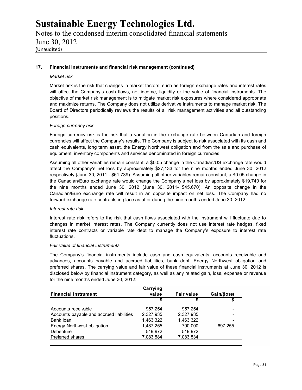Notes to the condensed interim consolidated financial statements June 30, 2012 (Unaudited)

## **17. Financial instruments and financial risk management (continued)**

#### *Market risk*

Market risk is the risk that changes in market factors, such as foreign exchange rates and interest rates will affect the Company's cash flows, net income, liquidity or the value of financial instruments. The objective of market risk management is to mitigate market risk exposures where considered appropriate and maximize returns. The Company does not utilize derivative instruments to manage market risk. The Board of Directors periodically reviews the results of all risk management activities and all outstanding positions.

## *Foreign currency risk*

Foreign currency risk is the risk that a variation in the exchange rate between Canadian and foreign currencies will affect the Company's results. The Company is subject to risk associated with its cash and cash equivalents, long term asset, the Energy Northwest obligation and from the sale and purchase of equipment, inventory components and services denominated in foreign currencies.

Assuming all other variables remain constant, a \$0.05 change in the Canadian/US exchange rate would affect the Company's net loss by approximately \$27,133 for the nine months ended June 30, 2012 respectively (June 30, 2011 - \$61,739). Assuming all other variables remain constant, a \$0.05 change in the Canadian/Euro exchange rate would change the Company's net loss by approximately \$19,740 for the nine months ended June 30, 2012 (June 30, 2011- \$45,670). An opposite change in the Canadian/Euro exchange rate will result in an opposite impact on net loss. The Company had no forward exchange rate contracts in place as at or during the nine months ended June 30, 2012.

## *Interest rate risk*

Interest rate risk refers to the risk that cash flows associated with the instrument will fluctuate due to changes in market interest rates. The Company currently does not use interest rate hedges, fixed interest rate contracts or variable rate debt to manage the Company's exposure to interest rate fluctuations.

#### *Fair value of financial instruments*

The Company's financial instruments include cash and cash equivalents, accounts receivable and advances, accounts payable and accrued liabilities, bank debt, Energy Northwest obligation and preferred shares. The carrying value and fair value of these financial instruments at June 30, 2012 is disclosed below by financial instrument category, as well as any related gain, loss, expense or revenue for the nine months ended June 30, 2012:

|                                          | Carrying  |                   |             |
|------------------------------------------|-----------|-------------------|-------------|
| <b>Financial instrument</b>              | value     | <b>Fair value</b> | Gain/(loss) |
|                                          | S         |                   |             |
| Accounts receivable                      | 957.254   | 957.254           |             |
| Accounts payable and accrued liabilities | 2,327,935 | 2,327,935         | -           |
| Bank loan                                | 1.463.322 | 1,463,322         | ۰           |
| Energy Northwest obligation              | 1,487,255 | 790.000           | 697.255     |
| Debenture                                | 519.972   | 519,972           |             |
| Preferred shares                         | 7,083,584 | 7,083,534         |             |
|                                          |           |                   |             |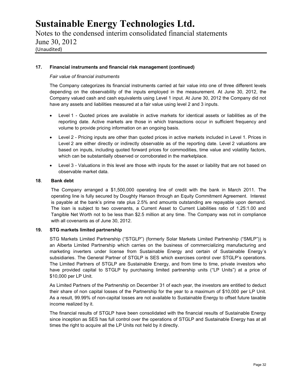Notes to the condensed interim consolidated financial statements June 30, 2012 (Unaudited)

## **17. Financial instruments and financial risk management (continued)**

## *Fair value of financial instruments*

The Company categorizes its financial instruments carried at fair value into one of three different levels depending on the observability of the inputs employed in the measurement. At June 30, 2012, the Company valued cash and cash equivalents using Level 1 input. At June 30, 2012 the Company did not have any assets and liabilities measured at a fair value using level 2 and 3 inputs.

- Level 1 Quoted prices are available in active markets for identical assets or liabilities as of the reporting date. Active markets are those in which transactions occur in sufficient frequency and volume to provide pricing information on an ongoing basis.
- Level 2 Pricing inputs are other than quoted prices in active markets included in Level 1. Prices in Level 2 are either directly or indirectly observable as of the reporting date. Level 2 valuations are based on inputs, including quoted forward prices for commodities, time value and volatility factors, which can be substantially observed or corroborated in the marketplace.
- Level 3 Valuations in this level are those with inputs for the asset or liability that are not based on observable market data.

#### **18**. **Bank debt**

The Company arranged a \$1,500,000 operating line of credit with the bank in March 2011. The operating line is fully secured by Doughty Hanson through an Equity Commitment Agreement. Interest is payable at the bank's prime rate plus 2.5% and amounts outstanding are repayable upon demand. The loan is subject to two covenants, a Current Asset to Current Liabilities ratio of 1.25:1.00 and Tangible Net Worth not to be less than \$2.5 million at any time. The Company was not in compliance with all covenants as of June 30, 2012.

## **19. STG markets limited partnership**

STG Markets Limited Partnership ("STGLP") (formerly Solar Markets Limited Partnership ("SMLP")) is an Alberta Limited Partnership which carries on the business of commercializing manufacturing and marketing inverters under license from Sustainable Energy and certain of Sustainable Energy's subsidiaries. The General Partner of STGLP is SES which exercises control over STGLP's operations. The Limited Partners of STGLP are Sustainable Energy, and from time to time, private investors who have provided capital to STGLP by purchasing limited partnership units ("LP Units") at a price of \$10,000 per LP Unit.

As Limited Partners of the Partnership on December 31 of each year, the investors are entitled to deduct their share of non capital losses of the Partnership for the year to a maximum of \$10,000 per LP Unit. As a result, 99.99% of non-capital losses are not available to Sustainable Energy to offset future taxable income realized by it.

The financial results of STGLP have been consolidated with the financial results of Sustainable Energy since inception as SES has full control over the operations of STGLP and Sustainable Energy has at all times the right to acquire all the LP Units not held by it directly.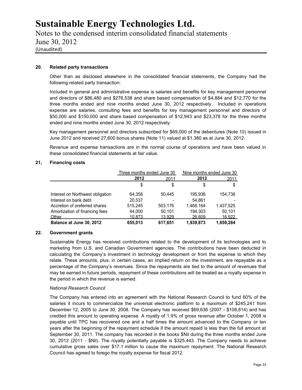## Notes to the condensed interim consolidated financial statements June 30, 2012 (Unaudited)

## **20. Related party transactions**

Other than as disclosed elsewhere in the consolidated financial statements, the Company had the following related party transaction:

Included in general and administrative expense is salaries and benefits for key management personnel and directors of \$86,480 and \$276,538 and share based compensation of \$4,884 and \$12,770 for the three months ended and nine months ended June 30, 2012 respectively. Included in operations expense are salaries, consulting fees and benefits for key management personnel and directors of \$50,000 and \$150,000 and share based compensation of \$12,943 and \$23,378 for the three months ended and nine months ended June 30, 2012 respectively

Key management personnel and directors subscribed for \$69,000 of the debentures (Note 10) issued in June 2012 and received 27,600 bonus shares (Note 11) valued at \$1,380 as at June 30, 2012.

Revenue and expense transactions are in the normal course of operations and have been valued in these consolidated financial statements at fair value.

#### **21, Financing costs**

|                                  | Three months ended June 30 |                          | Nine months ended June 30 |           |  |
|----------------------------------|----------------------------|--------------------------|---------------------------|-----------|--|
|                                  | 2012<br>2011               |                          | 2012<br><u> 2011 </u>     |           |  |
|                                  | \$                         | \$                       | \$                        | \$        |  |
| Interest on Northwest obligation | 64.358                     | 50.445                   | 195,936                   | 154.736   |  |
| Interest on bank debt            | 20.537                     | $\overline{\phantom{a}}$ | 54.861                    |           |  |
| Accretion of preferred shares    | 515.245                    | 503.176                  | 1.468.164                 | 1.437.525 |  |
| Amortization of financing fees   | 44.000                     | 50.101                   | 194.303                   | 50.101    |  |
| Other                            | 10.873                     | 13.929                   | 26,609                    | 16.922    |  |
| Balance at June 30, 2012         | 655,013                    | 617.651                  | 1,939,873                 | 1,659,284 |  |

## **22. Government grants**

Sustainable Energy has received contributions related to the development of its technologies and to marketing from U.S. and Canadian Government agencies. The contributions have been deducted in calculating the Company's investment in technology development or from the expense to which they relate. These amounts, plus, in certain cases, an implied return on the investment, are repayable as a percentage of the Company's revenues. Since the repayments are tied to the amount of revenues that may be earned in future periods, repayment of these contributions will be treated as a royalty expense in the period in which the revenue is earned.

## *National Research Council*

The Company has entered into an agreement with the National Research Council to fund 60% of the salaries it incurs to commercialize the universal electronic platform to a maximum of \$245,241 from December 12, 2005 to June 30, 2008. The Company has received \$69,636 (2007 - \$108,814) and has credited this amount to operating expense. A royalty of 1.9% of gross revenue after October 1, 2008 is payable until TPC has recovered one and a half times the amount advanced to the Company or ten years after the beginning of the repayment schedule if the amount repaid is less than the full amount at September 30, 2011. The company has recorded in the books \$Nil during the three months ended June 30, 2012 (2011 - \$Nil). The royalty potentially payable is \$325,443. The Company needs to achieve cumulative gross sales over \$17.1 million to cause the maximum repayment. The National Research Council has agreed to forego the royalty expense for fiscal 2012.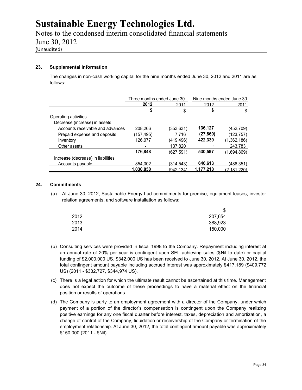Notes to the condensed interim consolidated financial statements June 30, 2012 (Unaudited)

## **23. Supplemental information**

The changes in non-cash working capital for the nine months ended June 30, 2012 and 2011 are as follows:

|                                    | Three months ended June 30 |           | Nine months ended June 30 |             |  |
|------------------------------------|----------------------------|-----------|---------------------------|-------------|--|
|                                    | 2012                       | 2011      | 2012                      | 2011        |  |
|                                    | \$                         | \$        | \$                        | \$          |  |
| Operating activities               |                            |           |                           |             |  |
| Decrease (increase) in assets      |                            |           |                           |             |  |
| Accounts receivable and advances   | 208.266                    | (353,631) | 136,127                   | (452.709)   |  |
| Prepaid expense and deposits       | (157,495)                  | 7.716     | (27, 869)                 | (123.757)   |  |
| Inventory                          | 126,077                    | (419,496) | 422,339                   | (1.362.186) |  |
| Other assets                       |                            | 137.820   |                           | 243.783     |  |
|                                    | 176,848                    | (627.591) | 530,597                   | (1.694.869) |  |
| Increase (decrease) in liabilities |                            |           |                           |             |  |
| Accounts payable                   | 854.002                    | (314.543) | 646,613                   | (486.351)   |  |
|                                    | 1,030,850                  | (942.134) | 1.177.210                 | (2.181.220) |  |

## **24. Commitments**

(a) At June 30, 2012, Sustainable Energy had commitments for premise, equipment leases, investor relation agreements, and software installation as follows:

| \$              |  |
|-----------------|--|
| 2012<br>207,654 |  |
| 2013<br>388,923 |  |
| 2014<br>150,000 |  |

- (b) Consulting services were provided in fiscal 1998 to the Company. Repayment including interest at an annual rate of 20% per year is contingent upon SEL achieving sales (\$Nil to date) or capital funding of \$2,000,000 US, \$342,000 US has been received to June 30, 2012. At June 30, 2012, the total contingent amount payable including accrued interest was approximately \$417,189 (\$409,772 US) (2011 - \$332,727, \$344,974 US).
- (c) There is a legal action for which the ultimate result cannot be ascertained at this time. Management does not expect the outcome of these proceedings to have a material effect on the financial position or results of operations.
- (d) The Company is party to an employment agreement with a director of the Company, under which payment of a portion of the director's compensation is contingent upon the Company realizing positive earnings for any one fiscal quarter before interest, taxes, depreciation and amortization, a change of control of the Company, liquidation or receivership of the Company or termination of the employment relationship. At June 30, 2012, the total contingent amount payable was approximately \$150,000 (2011 - \$Nil).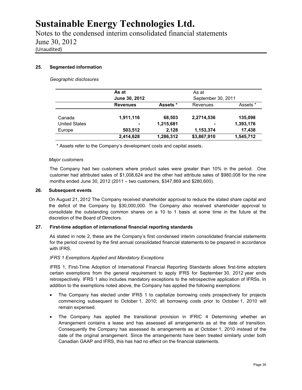Notes to the condensed interim consolidated financial statements June 30, 2012 (Unaudited)

## **25. Segmented information**

*Geographic disclosures*

|                      | As at           |           | As at              |           |  |
|----------------------|-----------------|-----------|--------------------|-----------|--|
|                      | June 30, 2012   |           | September 30, 2011 |           |  |
|                      | <b>Revenues</b> | Assets *  | Revenues           | Assets *  |  |
| Canada               | 1,911,116       | 68,503    | 2,2714,536         | 135,098   |  |
| <b>United States</b> | ٠               | 1,215,681 | ۰                  | 1,393,176 |  |
| Europe               | 503,512         | 2,128     | 1,153,374          | 17,438    |  |
|                      | 2,414,628       | 1,286,312 | \$3,867,910        | 1,545,712 |  |

\* Assets refer to the Company's development costs and capital assets.

#### *Major customers*

The Company had two customers where product sales were greater than 10% in the period. One customer had attributed sales of \$1,008,624 and the other had attribute sales of \$980,008 for the nine months ended June 30, 2012 (2011 – two customers, \$347,869 and \$280,600).

#### **26. Subsequent events**

On August 21, 2012 The Company received shareholder approval to reduce the stated share capital and the deficit of the Company by \$30,000,000. The Company also received shareholder approval to consolidate the outstanding common shares on a 10 to 1 basis at some time in the future at the discretion of the Board of Directors.

## **27. First-time adoption of international financial reporting standards**

As stated in note 2, these are the Company's first condensed interim consolidated financial statements for the period covered by the first annual consolidated financial statements to be prepared in accordance with IFRS.

#### *IFRS 1 Exemptions Applied and Mandatory Exceptions*

IFRS 1, First-Time Adoption of International Financial Reporting Standards allows first-time adopters certain exemptions from the general requirement to apply IFRS for September 30, 2012 year ends retrospectively. IFRS 1 also includes mandatory exceptions to the retrospective application of IFRSs. In addition to the exemptions noted above, the Company has applied the following exemptions:

- The Company has elected under IFRS 1 to capitalize borrowing costs prospectively for projects commencing subsequent to October 1, 2010; all borrowing costs prior to October 1, 2010 will remain expensed.
- The Company has applied the transitional provision in IFRIC 4 Determining whether an Arrangement contains a lease and has assessed all arrangements as at the date of transition. Consequently the Company has assessed its arrangements as at October 1, 2010 instead of the date of the original arrangement. Since the arrangements have been treated similarly under both Canadian GAAP and IFRS, this has had no effect on the financial statements.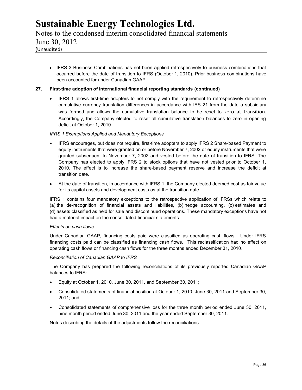Notes to the condensed interim consolidated financial statements June 30, 2012 (Unaudited)

• IFRS 3 Business Combinations has not been applied retrospectively to business combinations that occurred before the date of transition to IFRS (October 1, 2010). Prior business combinations have been accounted for under Canadian GAAP.

## **27. First-time adoption of international financial reporting standards (continued)**

 IFRS 1 allows first-time adopters to not comply with the requirement to retrospectively determine cumulative currency translation differences in accordance with IAS 21 from the date a subsidiary was formed and allows the cumulative translation balance to be reset to zero at transition. Accordingly, the Company elected to reset all cumulative translation balances to zero in opening deficit at October 1, 2010.

## *IFRS 1 Exemptions Applied and Mandatory Exceptions*

- IFRS encourages, but does not require, first-time adopters to apply IFRS 2 Share-based Payment to equity instruments that were granted on or before November 7, 2002 or equity instruments that were granted subsequent to November 7, 2002 and vested before the date of transition to IFRS. The Company has elected to apply IFRS 2 to stock options that have not vested prior to October 1, 2010. The effect is to increase the share-based payment reserve and increase the deficit at transition date.
- At the date of transition, in accordance with IFRS 1, the Company elected deemed cost as fair value for its capital assets and development costs as at the transition date.

IFRS 1 contains four mandatory exceptions to the retrospective application of IFRSs which relate to (a) the de-recognition of financial assets and liabilities, (b) hedge accounting, (c) estimates and (d) assets classified as held for sale and discontinued operations. These mandatory exceptions have not had a material impact on the consolidated financial statements.

## *Effects on cash flows*

Under Canadian GAAP, financing costs paid were classified as operating cash flows. Under IFRS financing costs paid can be classified as financing cash flows. This reclassification had no effect on operating cash flows or financing cash flows for the three months ended December 31, 2010.

## *Reconciliation of Canadian GAAP to IFRS*

The Company has prepared the following reconciliations of its previously reported Canadian GAAP balances to IFRS:

- Equity at October 1, 2010, June 30, 2011, and September 30, 2011;
- Consolidated statements of financial position at October 1, 2010, June 30, 2011 and September 30, 2011; and
- Consolidated statements of comprehensive loss for the three month period ended June 30, 2011, nine month period ended June 30, 2011 and the year ended September 30, 2011.

Notes describing the details of the adjustments follow the reconciliations.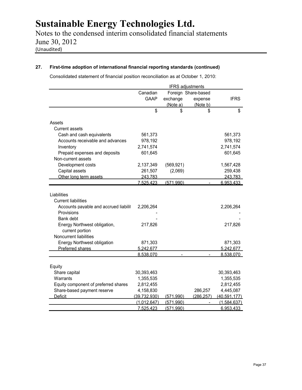Notes to the condensed interim consolidated financial statements June 30, 2012 (Unaudited)

## **27. First-time adoption of international financial reporting standards (continued)**

Consolidated statement of financial position reconciliation as at October 1, 2010:

|                                       |              | <b>IFRS</b> adjustments |                     |                |
|---------------------------------------|--------------|-------------------------|---------------------|----------------|
|                                       | Canadian     |                         | Foreign Share-based |                |
|                                       | <b>GAAP</b>  | exchange                | expense             | <b>IFRS</b>    |
|                                       |              | (Note a)                | (Note b)            |                |
|                                       | \$           | \$                      | \$                  | \$             |
| Assets                                |              |                         |                     |                |
| <b>Current assets</b>                 |              |                         |                     |                |
| Cash and cash equivalents             | 561,373      |                         |                     | 561,373        |
| Accounts receivable and advances      | 978,192      |                         |                     | 978,192        |
| Inventory                             | 2,741,574    |                         |                     | 2,741,574      |
| Prepaid expenses and deposits         | 601,645      |                         |                     | 601,645        |
| Non-current assets                    |              |                         |                     |                |
| Development costs                     | 2,137,349    | (569, 921)              |                     | 1,567,428      |
| Capital assets                        | 261,507      | (2,069)                 |                     | 259,438        |
| Other long term assets                | 243,783      |                         |                     | 243,783        |
|                                       | 7.525.423    | (571.990)               |                     | 6.953.433      |
|                                       |              |                         |                     |                |
| Liabilities                           |              |                         |                     |                |
| <b>Current liabilities</b>            |              |                         |                     |                |
| Accounts payable and accrued liabilit | 2,206,264    |                         |                     | 2,206,264      |
| Provisions                            |              |                         |                     |                |
| Bank debt                             |              |                         |                     |                |
| Energy Northwest obligation,          | 217,826      |                         |                     | 217,826        |
| current portion                       |              |                         |                     |                |
| Noncurrent liabilities                |              |                         |                     |                |
| <b>Energy Northwest obligation</b>    | 871,303      |                         |                     | 871,303        |
| <b>Preferred shares</b>               | 5,242,677    |                         |                     | 5,242,677      |
|                                       | 8,538,070    |                         |                     | 8,538,070      |
|                                       |              |                         |                     |                |
| Equity                                |              |                         |                     |                |
| Share capital                         | 30,393,463   |                         |                     | 30,393,463     |
| Warrants                              | 1,355,535    |                         |                     | 1,355,535      |
| Equity component of preferred shares  | 2,812,455    |                         |                     | 2,812,455      |
| Share-based payment reserve           | 4,158,830    |                         | 286,257             | 4,445,087      |
| <b>Deficit</b>                        | (39.732.930) | (571,990)               | (286, 257)          | (40, 591, 177) |
|                                       | (1.012.647)  | (571.990)               |                     | (1.584.637)    |
|                                       | 7.525.423    | (571.990)               |                     | 6.953.433      |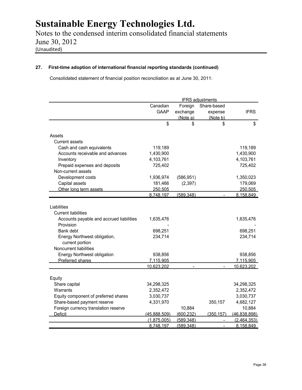Notes to the condensed interim consolidated financial statements June 30, 2012 (Unaudited)

## **27. First-time adoption of international financial reporting standards (continued)**

Consolidated statement of financial position reconciliation as at June 30, 2011:

|                                          |              |            | <b>IFRS</b> adjustments |              |
|------------------------------------------|--------------|------------|-------------------------|--------------|
|                                          | Canadian     | Foreign    | Share-based             |              |
|                                          | <b>GAAP</b>  | exchange   | expense                 | <b>IFRS</b>  |
|                                          |              | (Note a)   | (Note b)                |              |
|                                          | \$           | \$         | \$                      | \$           |
| Assets                                   |              |            |                         |              |
| Current assets                           |              |            |                         |              |
| Cash and cash equivalents                | 119,189      |            |                         | 119,189      |
| Accounts receivable and advances         | 1,430,900    |            |                         | 1,430,900    |
|                                          |              |            |                         |              |
| Inventory                                | 4,103,761    |            |                         | 4,103,761    |
| Prepaid expenses and deposits            | 725,402      |            |                         | 725,402      |
| Non-current assets                       |              |            |                         |              |
| Development costs                        | 1,936,974    | (586, 951) |                         | 1,350,023    |
| Capital assets                           | 181,466      | (2, 397)   |                         | 179,069      |
| Other long term assets                   | 250.505      |            |                         | 250,505      |
|                                          | 8.748.197    | (589.348)  |                         | 8.158.849    |
|                                          |              |            |                         |              |
| Liabilities                              |              |            |                         |              |
| <b>Current liabilities</b>               |              |            |                         |              |
| Accounts payable and accrued liabilities | 1,635,476    |            |                         | 1,635,476    |
| Provision                                |              |            |                         |              |
| Bank debt                                | 698,251      |            |                         | 698,251      |
| Energy Northwest obligation,             | 234,714      |            |                         | 234,714      |
| current portion                          |              |            |                         |              |
| Noncurrent liabilities                   |              |            |                         |              |
| Energy Northwest obligation              | 938,856      |            |                         | 938,856      |
| Preferred shares                         | 7.115.905    |            |                         | 7.115.905    |
|                                          | 10,623,202   |            |                         | 10.623,202   |
| Equity                                   |              |            |                         |              |
| Share capital                            | 34,298,325   |            |                         | 34,298,325   |
| Warrants                                 | 2,352,472    |            |                         | 2,352,472    |
| Equity component of preferred shares     | 3,030,737    |            |                         | 3,030,737    |
| Share-based payment reserve              | 4,331,970    |            | 350,157                 | 4,682,127    |
| Foreign currency translation reserve     |              | 10,884     |                         | 10,884       |
| <b>Deficit</b>                           | (45.888.509) | (600.232)  | (350.157)               | (46.838.898) |
|                                          | (1.875.005)  | (589.348)  |                         | (2.464.353)  |
|                                          | 8.748.197    | (589.348)  |                         | 8.158.849    |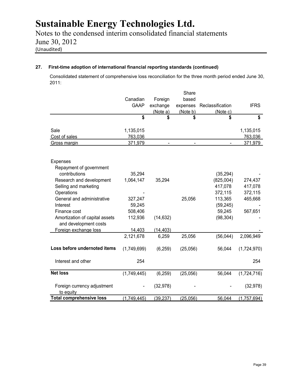Notes to the condensed interim consolidated financial statements June 30, 2012 (Unaudited)

## **27. First-time adoption of international financial reporting standards (continued)**

Consolidated statement of comprehensive loss reconciliation for the three month period ended June 30, 2011:

|                                                         |             |                | Share          |                  |             |
|---------------------------------------------------------|-------------|----------------|----------------|------------------|-------------|
|                                                         | Canadian    | Foreign        | based          |                  |             |
|                                                         | <b>GAAP</b> | exchange       | expenses       | Reclassification | <b>IFRS</b> |
|                                                         |             | (Note a)       | (Note b)       | (Note c)         |             |
|                                                         | \$          | \$             | \$             | \$               | \$          |
| Sale                                                    | 1,135,015   |                |                |                  | 1,135,015   |
| Cost of sales                                           | 763,036     |                |                |                  | 763,036     |
| Gross margin                                            | 371,979     | $\blacksquare$ | $\blacksquare$ | $\blacksquare$   | 371,979     |
| <b>Expenses</b>                                         |             |                |                |                  |             |
| Repayment of government                                 |             |                |                |                  |             |
| contributions                                           | 35,294      |                |                | (35, 294)        |             |
| Research and development                                | 1,064,147   | 35,294         |                | (825,004)        | 274,437     |
| Selling and marketing                                   |             |                |                | 417,078          | 417,078     |
| Operations                                              |             |                |                | 372,115          | 372,115     |
| General and administrative                              | 327,247     |                | 25,056         | 113,365          | 465,668     |
| Interest                                                | 59,245      |                |                | (59, 245)        |             |
| Finance cost                                            | 508,406     |                |                | 59,245           | 567,651     |
| Amortization of capital assets<br>and development costs | 112,936     | (14, 632)      |                | (98, 304)        |             |
| Foreign exchange loss                                   | 14,403      | (14, 403)      |                |                  |             |
|                                                         | 2,121,678   | 6,259          | 25,056         | (56, 044)        | 2,096,949   |
| Loss before undernoted items                            | (1,749,699) | (6, 259)       | (25,056)       | 56,044           | (1,724,970) |
| Interest and other                                      | 254         |                |                |                  | 254         |
| <b>Net loss</b>                                         | (1,749,445) | (6, 259)       | (25,056)       | 56,044           | (1,724,716) |
| Foreign currency adjustment<br>to equity                |             | (32, 978)      |                |                  | (32, 978)   |
| <b>Total comprehensive loss</b>                         | (1,749,445) | (39, 237)      | (25,056)       | 56,044           | (1,757,694) |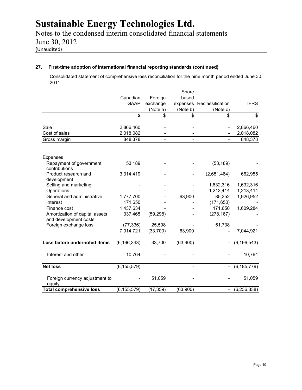Notes to the condensed interim consolidated financial statements June 30, 2012 (Unaudited)

## **27. First-time adoption of international financial reporting standards (continued)**

Consolidated statement of comprehensive loss reconciliation for the nine month period ended June 30, 2011:

|                                                         |               |                          | Share                    |                           |                             |
|---------------------------------------------------------|---------------|--------------------------|--------------------------|---------------------------|-----------------------------|
|                                                         | Canadian      | Foreign                  | based                    |                           |                             |
|                                                         | <b>GAAP</b>   | exchange                 |                          | expenses Reclassification | <b>IFRS</b>                 |
|                                                         |               | (Note b)<br>(Note a)     |                          | (Note c)                  |                             |
|                                                         | \$            | \$                       | \$                       | \$                        | $\overline{\boldsymbol{s}}$ |
| Sale                                                    | 2,866,460     |                          |                          |                           | 2,866,460                   |
| Cost of sales                                           | 2,018,082     |                          |                          |                           | 2,018,082                   |
| Gross margin                                            | 848,378       | $\overline{\phantom{0}}$ | $\overline{a}$           | $\blacksquare$            | 848,378                     |
| Expenses                                                |               |                          |                          |                           |                             |
| Repayment of government<br>contributions                | 53,189        |                          |                          | (53, 189)                 |                             |
| Product research and<br>development                     | 3,314,419     |                          |                          | (2,651,464)               | 662,955                     |
| Selling and marketing                                   |               |                          |                          | 1,632,316                 | 1,632,316                   |
| Operations                                              |               |                          |                          | 1,213,414                 | 1,213,414                   |
| General and administrative                              | 1,777,700     |                          | 63,900                   | 85,352                    | 1,926,952                   |
| Interest                                                | 171,650       |                          |                          | (171, 650)                |                             |
| Finance cost                                            | 1,437,634     |                          |                          | 171,650                   | 1,609,284                   |
| Amortization of capital assets<br>and development costs | 337,465       | (59, 298)                |                          | (278, 167)                |                             |
| Foreign exchange loss                                   | (77, 336)     | 25,598                   |                          | 51,738                    |                             |
|                                                         | 7,014,721     | (33,700)                 | 63,900                   |                           | 7,044,921                   |
| Loss before undernoted items                            | (6, 166, 343) | 33,700                   | (63,900)                 |                           | (6, 196, 543)               |
| Interest and other                                      | 10,764        |                          |                          |                           | 10,764                      |
| <b>Net loss</b>                                         | (6, 155, 579) |                          | $\overline{\phantom{0}}$ | $\overline{\phantom{a}}$  | (6, 185, 779)               |
| Foreign currency adjustment to<br>equity                |               | 51,059                   |                          |                           | 51,059                      |
| <b>Total comprehensive loss</b>                         | (6, 155, 579) | (17, 359)                | (63,900)                 | $\overline{\phantom{a}}$  | (6, 236, 838)               |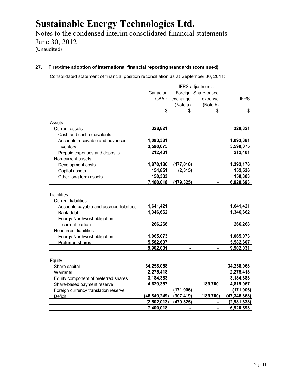Notes to the condensed interim consolidated financial statements June 30, 2012 (Unaudited)

## **27. First-time adoption of international financial reporting standards (continued)**

Consolidated statement of financial position reconciliation as at September 30, 2011:

|                                                                                                                                                                                                                                           |                                                                          |                | <b>IFRS</b> adjustments |                                                                          |
|-------------------------------------------------------------------------------------------------------------------------------------------------------------------------------------------------------------------------------------------|--------------------------------------------------------------------------|----------------|-------------------------|--------------------------------------------------------------------------|
|                                                                                                                                                                                                                                           | Canadian                                                                 |                | Foreign Share-based     |                                                                          |
|                                                                                                                                                                                                                                           | <b>GAAP</b>                                                              | exchange       | expense                 | <b>IFRS</b>                                                              |
|                                                                                                                                                                                                                                           |                                                                          | (Note a)       | (Note b)                |                                                                          |
|                                                                                                                                                                                                                                           | \$                                                                       | \$             | \$                      | \$                                                                       |
| Assets                                                                                                                                                                                                                                    |                                                                          |                |                         |                                                                          |
| <b>Current assets</b>                                                                                                                                                                                                                     | 328,821                                                                  |                |                         | 328,821                                                                  |
| Cash and cash equivalents                                                                                                                                                                                                                 |                                                                          |                |                         |                                                                          |
| Accounts receivable and advances                                                                                                                                                                                                          | 1,093,381                                                                |                |                         | 1,093,381                                                                |
| Inventory                                                                                                                                                                                                                                 | 3,590,075                                                                |                |                         | 3,590,075                                                                |
| Prepaid expenses and deposits                                                                                                                                                                                                             | 212,401                                                                  |                |                         | 212,401                                                                  |
| Non-current assets                                                                                                                                                                                                                        |                                                                          |                |                         |                                                                          |
| Development costs                                                                                                                                                                                                                         | 1,870,186                                                                | (477, 010)     |                         | 1,393,176                                                                |
| Capital assets                                                                                                                                                                                                                            | 154,851                                                                  | (2, 315)       |                         | 152,536                                                                  |
| Other long term assets                                                                                                                                                                                                                    | 150,303                                                                  |                |                         | 150,303                                                                  |
|                                                                                                                                                                                                                                           | 7,400,018                                                                | (479, 325)     |                         | 6,920,693                                                                |
| Liabilities<br><b>Current liabilities</b><br>Accounts payable and accrued liabilities<br>Bank debt<br>Energy Northwest obligation,<br>current portion<br>Noncurrent liabilities<br><b>Energy Northwest obligation</b><br>Preferred shares | 1,641,421<br>1,346,662<br>266,268<br>1,065,073<br>5,582,607<br>9,902,031 |                |                         | 1,641,421<br>1,346,662<br>266,268<br>1,065,073<br>5,582,607<br>9,902,031 |
|                                                                                                                                                                                                                                           |                                                                          |                |                         |                                                                          |
| Equity                                                                                                                                                                                                                                    |                                                                          |                |                         |                                                                          |
| Share capital                                                                                                                                                                                                                             | 34,258,068                                                               |                |                         | 34,258,068                                                               |
| Warrants                                                                                                                                                                                                                                  | 2,275,418                                                                |                |                         | 2,275,418                                                                |
| Equity component of preferred shares                                                                                                                                                                                                      | 3,184,383                                                                |                |                         | 3,184,383                                                                |
| Share-based payment reserve                                                                                                                                                                                                               | 4,629,367                                                                |                | 189,700                 | 4,819,067                                                                |
| Foreign currency translation reserve                                                                                                                                                                                                      |                                                                          | (171, 906)     |                         | (171, 906)                                                               |
| <b>Deficit</b>                                                                                                                                                                                                                            | (46, 849, 249)                                                           | (307, 419)     | (189, 700)              | (47, 346, 368)                                                           |
|                                                                                                                                                                                                                                           | (2, 502, 013)                                                            | (479, 325)     |                         | (2,981,338)                                                              |
|                                                                                                                                                                                                                                           | 7,400,018                                                                | $\blacksquare$ | $\blacksquare$          | 6,920,693                                                                |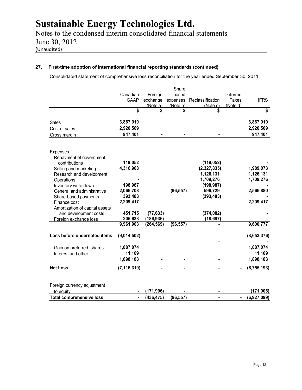Notes to the condensed interim consolidated financial statements June 30, 2012 (Unaudited)

## **27. First-time adoption of international financial reporting standards (continued)**

Consolidated statement of comprehensive loss reconciliation for the year ended September 30, 2011:

|                                 |               |            | Share     |                  |              |               |
|---------------------------------|---------------|------------|-----------|------------------|--------------|---------------|
|                                 | Canadian      | Foreian    | based     |                  | Deferred     |               |
|                                 | <b>GAAP</b>   | exchange   | expenses  | Reclassification | <b>Taxes</b> | <b>IFRS</b>   |
|                                 |               | (Note a)   | (Note b)  | (Note c)         | (Note d)     |               |
|                                 | \$            | \$         | \$        |                  |              | \$            |
| <b>Sales</b>                    | 3,867,910     |            |           |                  |              | 3,867,910     |
| Cost of sales                   | 2,920,509     |            |           |                  |              | 2,920,509     |
| Gross margin                    | 947,401       |            |           |                  |              | 947,401       |
| <b>Expenses</b>                 |               |            |           |                  |              |               |
| Repayment of government         |               |            |           |                  |              |               |
| contributions                   | 119,052       |            |           | (119, 052)       |              |               |
| Selling and marketing           | 4,316,908     |            |           | (2,327,835)      |              | 1,989,073     |
| Research and development        |               |            |           | 1,126,131        |              | 1,126,131     |
| Operations                      |               |            |           | 1,709,276        |              | 1,709,276     |
| Inventory write down            | 198,987       |            |           | (198, 987)       |              |               |
| General and administrative      | 2,066,708     |            | (96, 557) | 596,729          |              | 2,566,880     |
| Share-based payments            | 393,483       |            |           | (393, 483)       |              |               |
| Finance cost                    | 2,209,417     |            |           |                  |              | 2,209,417     |
| Amortization of capital assets  |               |            |           |                  |              |               |
| and development costs           | 451,715       | (77, 633)  |           | (374, 082)       |              |               |
| Foreign exchange loss           | 205,633       | (186, 936) |           | (18, 697)        |              |               |
|                                 | 9,961,903     | (264, 569) | (96, 557) |                  |              | 9,600,777     |
| Loss before undernoted items    | (9,014,502)   |            |           |                  |              | (8,653,376)   |
|                                 |               |            |           |                  |              |               |
| Gain on preferred shares        | 1,887,074     |            |           |                  |              | 1,887,074     |
| Interest and other              | 11,109        |            |           |                  |              | 11,109        |
|                                 | 1,898,183     | ۰          |           |                  |              | 1,898,183     |
| <b>Net Loss</b>                 | (7, 116, 319) |            |           |                  |              | (6, 755, 193) |
|                                 |               |            |           |                  |              |               |
| Foreign currency adjustment     |               |            |           |                  |              |               |
| to equity                       |               | (171, 906) |           |                  |              | (171, 906)    |
| <b>Total comprehensive loss</b> |               | (436, 475) | (96, 557) |                  |              | (6,927,099)   |